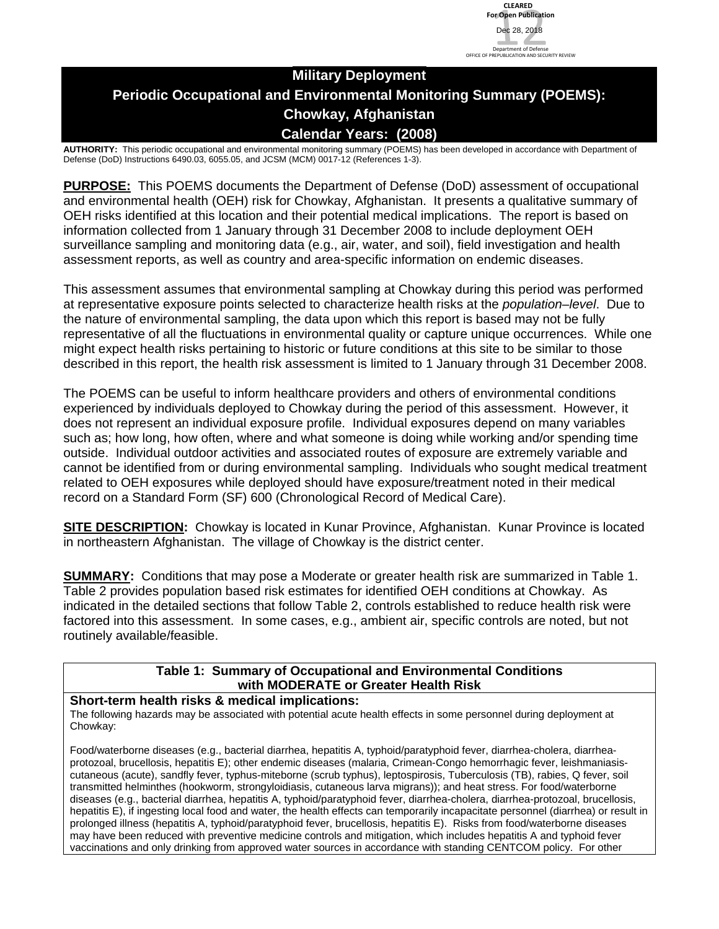# **Military Deployment Periodic Occupational and Environmental Monitoring Summary (POEMS): Chowkay, Afghanistan Calendar Years: (2008)**

**AUTHORITY:** This periodic occupational and environmental monitoring summary (POEMS) has been developed in accordance with Department of Defense (DoD) Instructions 6490.03, 6055.05, and JCSM (MCM) 0017-12 (References 1-3).

**PURPOSE:** This POEMS documents the Department of Defense (DoD) assessment of occupational and environmental health (OEH) risk for Chowkay, Afghanistan. It presents a qualitative summary of OEH risks identified at this location and their potential medical implications. The report is based on information collected from 1 January through 31 December 2008 to include deployment OEH surveillance sampling and monitoring data (e.g., air, water, and soil), field investigation and health assessment reports, as well as country and area-specific information on endemic diseases.

This assessment assumes that environmental sampling at Chowkay during this period was performed at representative exposure points selected to characterize health risks at the *population–level*. Due to the nature of environmental sampling, the data upon which this report is based may not be fully representative of all the fluctuations in environmental quality or capture unique occurrences. While one might expect health risks pertaining to historic or future conditions at this site to be similar to those described in this report, the health risk assessment is limited to 1 January through 31 December 2008.

The POEMS can be useful to inform healthcare providers and others of environmental conditions experienced by individuals deployed to Chowkay during the period of this assessment. However, it does not represent an individual exposure profile. Individual exposures depend on many variables such as; how long, how often, where and what someone is doing while working and/or spending time outside. Individual outdoor activities and associated routes of exposure are extremely variable and cannot be identified from or during environmental sampling. Individuals who sought medical treatment related to OEH exposures while deployed should have exposure/treatment noted in their medical record on a Standard Form (SF) 600 (Chronological Record of Medical Care).

**SITE DESCRIPTION:** Chowkay is located in Kunar Province, Afghanistan. Kunar Province is located in northeastern Afghanistan. The village of Chowkay is the district center.

**SUMMARY:** Conditions that may pose a Moderate or greater health risk are summarized in Table 1. Table 2 provides population based risk estimates for identified OEH conditions at Chowkay. As indicated in the detailed sections that follow Table 2, controls established to reduce health risk were factored into this assessment. In some cases, e.g., ambient air, specific controls are noted, but not routinely available/feasible.

## **Table 1: Summary of Occupational and Environmental Conditions with MODERATE or Greater Health Risk**

#### **Short-term health risks & medical implications:**

The following hazards may be associated with potential acute health effects in some personnel during deployment at Chowkay:

Food/waterborne diseases (e.g., bacterial diarrhea, hepatitis A, typhoid/paratyphoid fever, diarrhea-cholera, diarrheaprotozoal, brucellosis, hepatitis E); other endemic diseases (malaria, Crimean-Congo hemorrhagic fever, leishmaniasiscutaneous (acute), sandfly fever, typhus-miteborne (scrub typhus), leptospirosis, Tuberculosis (TB), rabies, Q fever, soil transmitted helminthes (hookworm, strongyloidiasis, cutaneous larva migrans)); and heat stress. For food/waterborne diseases (e.g., bacterial diarrhea, hepatitis A, typhoid/paratyphoid fever, diarrhea-cholera, diarrhea-protozoal, brucellosis, hepatitis E), if ingesting local food and water, the health effects can temporarily incapacitate personnel (diarrhea) or result in prolonged illness (hepatitis A, typhoid/paratyphoid fever, brucellosis, hepatitis E). Risks from food/waterborne diseases may have been reduced with preventive medicine controls and mitigation, which includes hepatitis A and typhoid fever vaccinations and only drinking from approved water sources in accordance with standing CENTCOM policy. For other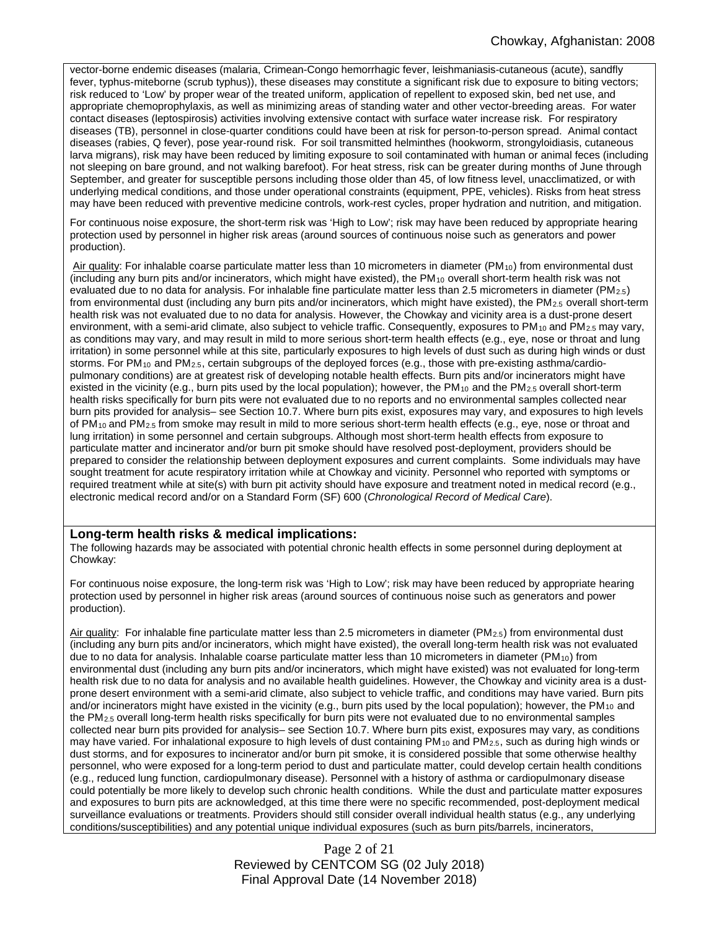vector-borne endemic diseases (malaria, Crimean-Congo hemorrhagic fever, leishmaniasis-cutaneous (acute), sandfly fever, typhus-miteborne (scrub typhus)), these diseases may constitute a significant risk due to exposure to biting vectors; risk reduced to 'Low' by proper wear of the treated uniform, application of repellent to exposed skin, bed net use, and appropriate chemoprophylaxis, as well as minimizing areas of standing water and other vector-breeding areas. For water contact diseases (leptospirosis) activities involving extensive contact with surface water increase risk. For respiratory diseases (TB), personnel in close-quarter conditions could have been at risk for person-to-person spread. Animal contact diseases (rabies, Q fever), pose year-round risk. For soil transmitted helminthes (hookworm, strongyloidiasis, cutaneous larva migrans), risk may have been reduced by limiting exposure to soil contaminated with human or animal feces (including not sleeping on bare ground, and not walking barefoot). For heat stress, risk can be greater during months of June through September, and greater for susceptible persons including those older than 45, of low fitness level, unacclimatized, or with underlying medical conditions, and those under operational constraints (equipment, PPE, vehicles). Risks from heat stress may have been reduced with preventive medicine controls, work-rest cycles, proper hydration and nutrition, and mitigation.

For continuous noise exposure, the short-term risk was 'High to Low'; risk may have been reduced by appropriate hearing protection used by personnel in higher risk areas (around sources of continuous noise such as generators and power production).

Air quality: For inhalable coarse particulate matter less than 10 micrometers in diameter (PM<sub>10</sub>) from environmental dust (including any burn pits and/or incinerators, which might have existed), the  $PM_{10}$  overall short-term health risk was not evaluated due to no data for analysis. For inhalable fine particulate matter less than 2.5 micrometers in diameter (PM2.5) from environmental dust (including any burn pits and/or incinerators, which might have existed), the PM<sub>2.5</sub> overall short-term health risk was not evaluated due to no data for analysis. However, the Chowkay and vicinity area is a dust-prone desert environment, with a semi-arid climate, also subject to vehicle traffic. Consequently, exposures to  $PM_{10}$  and  $PM_{2.5}$  may vary, as conditions may vary, and may result in mild to more serious short-term health effects (e.g., eye, nose or throat and lung irritation) in some personnel while at this site, particularly exposures to high levels of dust such as during high winds or dust storms. For PM<sub>10</sub> and PM<sub>2.5</sub>, certain subgroups of the deployed forces (e.g., those with pre-existing asthma/cardiopulmonary conditions) are at greatest risk of developing notable health effects. Burn pits and/or incinerators might have existed in the vicinity (e.g., burn pits used by the local population); however, the PM<sub>10</sub> and the PM<sub>2.5</sub> overall short-term health risks specifically for burn pits were not evaluated due to no reports and no environmental samples collected near burn pits provided for analysis– see Section 10.7. Where burn pits exist, exposures may vary, and exposures to high levels of PM<sub>10</sub> and PM<sub>2.5</sub> from smoke may result in mild to more serious short-term health effects (e.g., eye, nose or throat and lung irritation) in some personnel and certain subgroups. Although most short-term health effects from exposure to particulate matter and incinerator and/or burn pit smoke should have resolved post-deployment, providers should be prepared to consider the relationship between deployment exposures and current complaints. Some individuals may have sought treatment for acute respiratory irritation while at Chowkay and vicinity. Personnel who reported with symptoms or required treatment while at site(s) with burn pit activity should have exposure and treatment noted in medical record (e.g., electronic medical record and/or on a Standard Form (SF) 600 (*Chronological Record of Medical Care*).

#### **Long-term health risks & medical implications:**

The following hazards may be associated with potential chronic health effects in some personnel during deployment at Chowkay:

For continuous noise exposure, the long-term risk was 'High to Low'; risk may have been reduced by appropriate hearing protection used by personnel in higher risk areas (around sources of continuous noise such as generators and power production).

Air quality: For inhalable fine particulate matter less than 2.5 micrometers in diameter (PM<sub>2.5</sub>) from environmental dust (including any burn pits and/or incinerators, which might have existed), the overall long-term health risk was not evaluated due to no data for analysis. Inhalable coarse particulate matter less than 10 micrometers in diameter (PM10) from environmental dust (including any burn pits and/or incinerators, which might have existed) was not evaluated for long-term health risk due to no data for analysis and no available health guidelines. However, the Chowkay and vicinity area is a dustprone desert environment with a semi-arid climate, also subject to vehicle traffic, and conditions may have varied. Burn pits and/or incinerators might have existed in the vicinity (e.g., burn pits used by the local population); however, the PM<sub>10</sub> and the PM2.5 overall long-term health risks specifically for burn pits were not evaluated due to no environmental samples collected near burn pits provided for analysis– see Section 10.7. Where burn pits exist, exposures may vary, as conditions may have varied. For inhalational exposure to high levels of dust containing PM<sub>10</sub> and PM<sub>2.5</sub>, such as during high winds or dust storms, and for exposures to incinerator and/or burn pit smoke, it is considered possible that some otherwise healthy personnel, who were exposed for a long-term period to dust and particulate matter, could develop certain health conditions (e.g., reduced lung function, cardiopulmonary disease). Personnel with a history of asthma or cardiopulmonary disease could potentially be more likely to develop such chronic health conditions. While the dust and particulate matter exposures and exposures to burn pits are acknowledged, at this time there were no specific recommended, post-deployment medical surveillance evaluations or treatments. Providers should still consider overall individual health status (e.g., any underlying conditions/susceptibilities) and any potential unique individual exposures (such as burn pits/barrels, incinerators,

> Page 2 of 21 Reviewed by CENTCOM SG (02 July 2018) Final Approval Date (14 November 2018)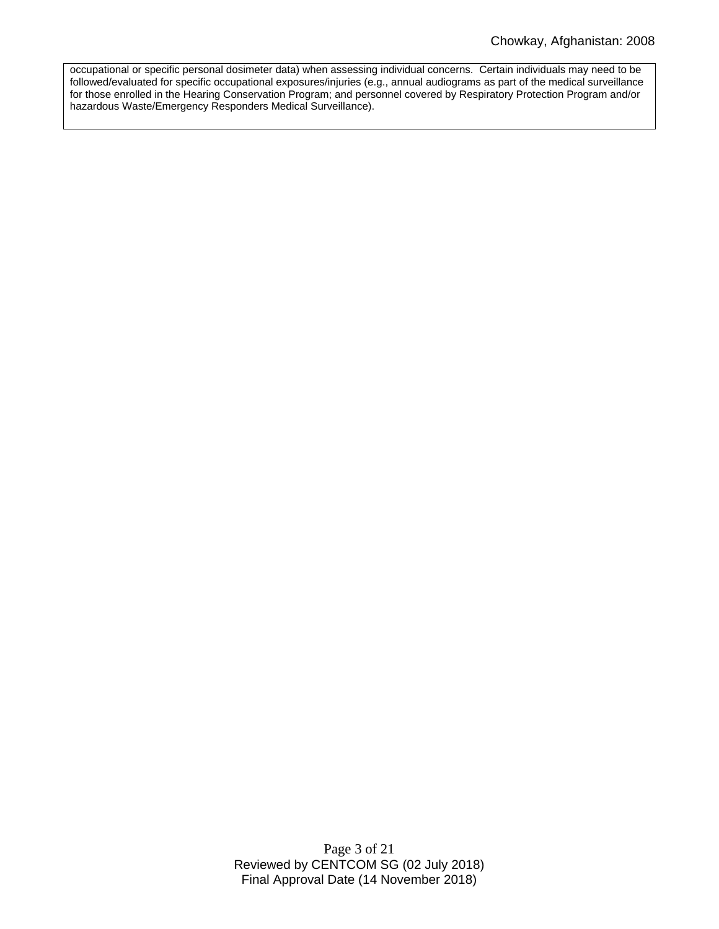occupational or specific personal dosimeter data) when assessing individual concerns. Certain individuals may need to be followed/evaluated for specific occupational exposures/injuries (e.g., annual audiograms as part of the medical surveillance for those enrolled in the Hearing Conservation Program; and personnel covered by Respiratory Protection Program and/or hazardous Waste/Emergency Responders Medical Surveillance).

> Page 3 of 21 Reviewed by CENTCOM SG (02 July 2018) Final Approval Date (14 November 2018)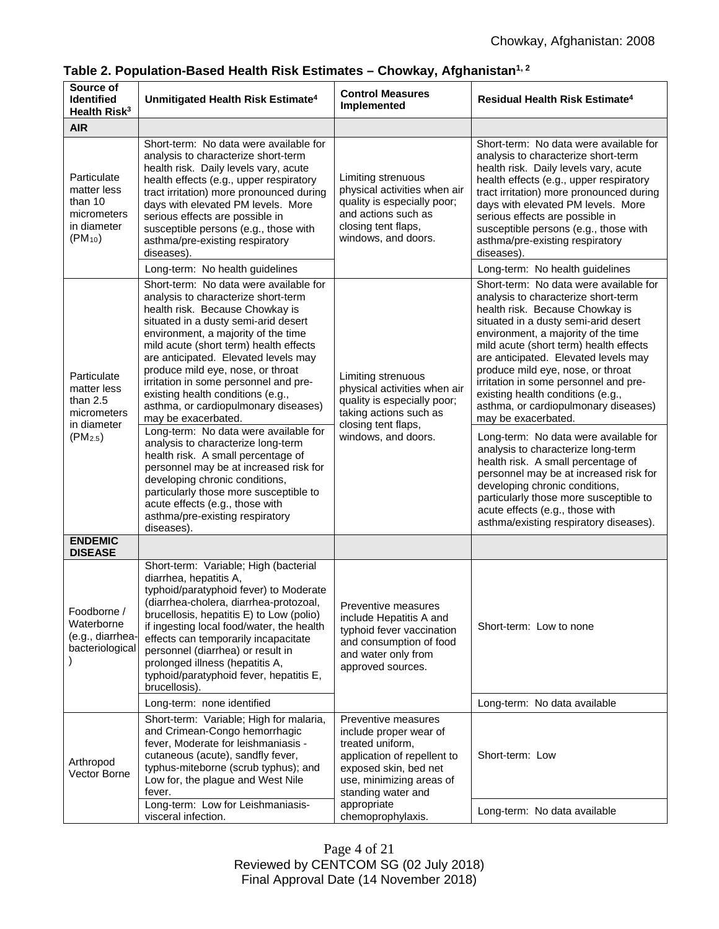| Source of<br><b>Identified</b><br>Health Risk <sup>3</sup>                                     | Unmitigated Health Risk Estimate <sup>4</sup>                                                                                                                                                                                                                                                                                                                                                                                                                                                                                                                                                                                                                                                                                                                                                      | <b>Control Measures</b><br>Implemented                                                                                                                                                     | Residual Health Risk Estimate <sup>4</sup>                                                                                                                                                                                                                                                                                                                                                                                                                                                                                                                                                                                                                                                                                                                                                  |
|------------------------------------------------------------------------------------------------|----------------------------------------------------------------------------------------------------------------------------------------------------------------------------------------------------------------------------------------------------------------------------------------------------------------------------------------------------------------------------------------------------------------------------------------------------------------------------------------------------------------------------------------------------------------------------------------------------------------------------------------------------------------------------------------------------------------------------------------------------------------------------------------------------|--------------------------------------------------------------------------------------------------------------------------------------------------------------------------------------------|---------------------------------------------------------------------------------------------------------------------------------------------------------------------------------------------------------------------------------------------------------------------------------------------------------------------------------------------------------------------------------------------------------------------------------------------------------------------------------------------------------------------------------------------------------------------------------------------------------------------------------------------------------------------------------------------------------------------------------------------------------------------------------------------|
| <b>AIR</b>                                                                                     |                                                                                                                                                                                                                                                                                                                                                                                                                                                                                                                                                                                                                                                                                                                                                                                                    |                                                                                                                                                                                            |                                                                                                                                                                                                                                                                                                                                                                                                                                                                                                                                                                                                                                                                                                                                                                                             |
| Particulate<br>matter less<br>than 10<br>micrometers<br>in diameter<br>$(PM_{10})$             | Short-term: No data were available for<br>analysis to characterize short-term<br>health risk. Daily levels vary, acute<br>health effects (e.g., upper respiratory<br>tract irritation) more pronounced during<br>days with elevated PM levels. More<br>serious effects are possible in<br>susceptible persons (e.g., those with<br>asthma/pre-existing respiratory<br>diseases)                                                                                                                                                                                                                                                                                                                                                                                                                    | Limiting strenuous<br>physical activities when air<br>quality is especially poor;<br>and actions such as<br>closing tent flaps,<br>windows, and doors.                                     | Short-term: No data were available for<br>analysis to characterize short-term<br>health risk. Daily levels vary, acute<br>health effects (e.g., upper respiratory<br>tract irritation) more pronounced during<br>days with elevated PM levels. More<br>serious effects are possible in<br>susceptible persons (e.g., those with<br>asthma/pre-existing respiratory<br>diseases).                                                                                                                                                                                                                                                                                                                                                                                                            |
|                                                                                                | Long-term: No health guidelines                                                                                                                                                                                                                                                                                                                                                                                                                                                                                                                                                                                                                                                                                                                                                                    |                                                                                                                                                                                            | Long-term: No health guidelines                                                                                                                                                                                                                                                                                                                                                                                                                                                                                                                                                                                                                                                                                                                                                             |
| Particulate<br>matter less<br>than $2.5$<br>micrometers<br>in diameter<br>(PM <sub>2.5</sub> ) | Short-term: No data were available for<br>analysis to characterize short-term<br>health risk. Because Chowkay is<br>situated in a dusty semi-arid desert<br>environment, a majority of the time<br>mild acute (short term) health effects<br>are anticipated. Elevated levels may<br>produce mild eye, nose, or throat<br>irritation in some personnel and pre-<br>existing health conditions (e.g.,<br>asthma, or cardiopulmonary diseases)<br>may be exacerbated.<br>Long-term: No data were available for<br>analysis to characterize long-term<br>health risk. A small percentage of<br>personnel may be at increased risk for<br>developing chronic conditions,<br>particularly those more susceptible to<br>acute effects (e.g., those with<br>asthma/pre-existing respiratory<br>diseases). | Limiting strenuous<br>physical activities when air<br>quality is especially poor;<br>taking actions such as<br>closing tent flaps,<br>windows, and doors.                                  | Short-term: No data were available for<br>analysis to characterize short-term<br>health risk. Because Chowkay is<br>situated in a dusty semi-arid desert<br>environment, a majority of the time<br>mild acute (short term) health effects<br>are anticipated. Elevated levels may<br>produce mild eye, nose, or throat<br>irritation in some personnel and pre-<br>existing health conditions (e.g.,<br>asthma, or cardiopulmonary diseases)<br>may be exacerbated.<br>Long-term: No data were available for<br>analysis to characterize long-term<br>health risk. A small percentage of<br>personnel may be at increased risk for<br>developing chronic conditions,<br>particularly those more susceptible to<br>acute effects (e.g., those with<br>asthma/existing respiratory diseases). |
| <b>ENDEMIC</b><br><b>DISEASE</b>                                                               |                                                                                                                                                                                                                                                                                                                                                                                                                                                                                                                                                                                                                                                                                                                                                                                                    |                                                                                                                                                                                            |                                                                                                                                                                                                                                                                                                                                                                                                                                                                                                                                                                                                                                                                                                                                                                                             |
| Foodborne /<br>Waterborne<br>(e.g., diarrhea-<br>bacteriological                               | Short-term: Variable; High (bacterial<br>diarrhea, hepatitis A,<br>typhoid/paratyphoid fever) to Moderate<br>(diarrhea-cholera, diarrhea-protozoal,<br>brucellosis, hepatitis E) to Low (polio)<br>if ingesting local food/water, the health<br>effects can temporarily incapacitate<br>personnel (diarrhea) or result in<br>prolonged illness (hepatitis A,<br>typhoid/paratyphoid fever, hepatitis E,<br>brucellosis).                                                                                                                                                                                                                                                                                                                                                                           | Preventive measures<br>include Hepatitis A and<br>typhoid fever vaccination<br>and consumption of food<br>and water only from<br>approved sources.                                         | Short-term: Low to none                                                                                                                                                                                                                                                                                                                                                                                                                                                                                                                                                                                                                                                                                                                                                                     |
|                                                                                                | Long-term: none identified                                                                                                                                                                                                                                                                                                                                                                                                                                                                                                                                                                                                                                                                                                                                                                         |                                                                                                                                                                                            | Long-term: No data available                                                                                                                                                                                                                                                                                                                                                                                                                                                                                                                                                                                                                                                                                                                                                                |
| Arthropod<br>Vector Borne                                                                      | Short-term: Variable; High for malaria,<br>and Crimean-Congo hemorrhagic<br>fever, Moderate for leishmaniasis -<br>cutaneous (acute), sandfly fever,<br>typhus-miteborne (scrub typhus); and<br>Low for, the plague and West Nile<br>fever.<br>Long-term: Low for Leishmaniasis-                                                                                                                                                                                                                                                                                                                                                                                                                                                                                                                   | Preventive measures<br>include proper wear of<br>treated uniform,<br>application of repellent to<br>exposed skin, bed net<br>use, minimizing areas of<br>standing water and<br>appropriate | Short-term: Low<br>Long-term: No data available                                                                                                                                                                                                                                                                                                                                                                                                                                                                                                                                                                                                                                                                                                                                             |
|                                                                                                | visceral infection.                                                                                                                                                                                                                                                                                                                                                                                                                                                                                                                                                                                                                                                                                                                                                                                | chemoprophylaxis.                                                                                                                                                                          |                                                                                                                                                                                                                                                                                                                                                                                                                                                                                                                                                                                                                                                                                                                                                                                             |

| Table 2. Population-Based Health Risk Estimates – Chowkay, Afghanistan $^{1,\,2}$ |  |  |  |  |
|-----------------------------------------------------------------------------------|--|--|--|--|
|-----------------------------------------------------------------------------------|--|--|--|--|

Page 4 of 21 Reviewed by CENTCOM SG (02 July 2018) Final Approval Date (14 November 2018)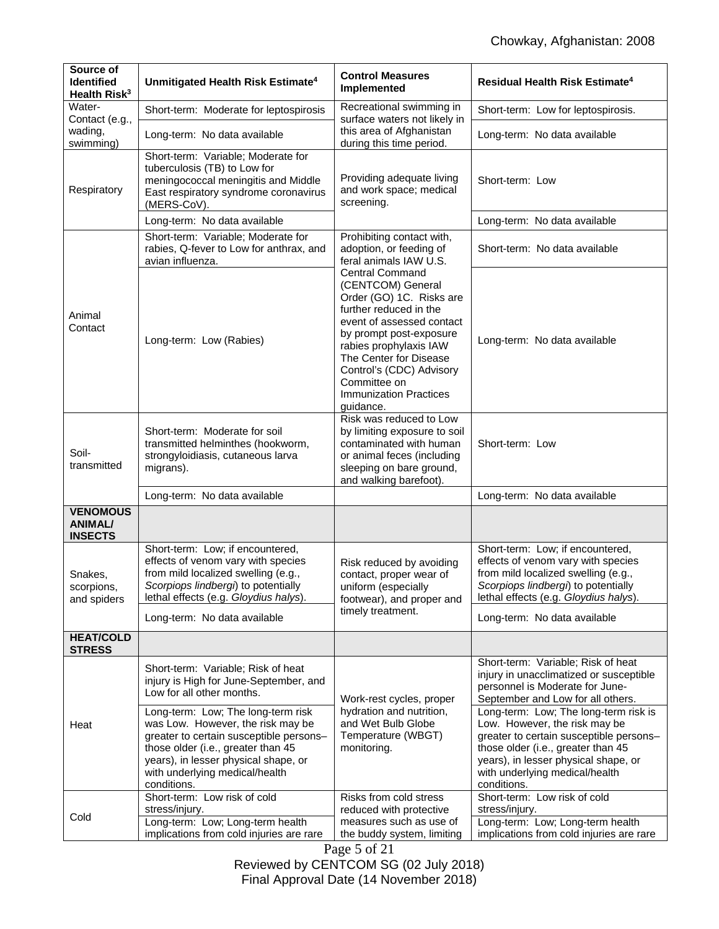| Source of<br><b>Identified</b><br>Health Risk <sup>3</sup> | Unmitigated Health Risk Estimate <sup>4</sup>                                                                                                                                                                                                     | <b>Control Measures</b><br>Implemented                                                                                                                                                                                                                                                                  | <b>Residual Health Risk Estimate<sup>4</sup></b>                                                                                                                                                                                                 |
|------------------------------------------------------------|---------------------------------------------------------------------------------------------------------------------------------------------------------------------------------------------------------------------------------------------------|---------------------------------------------------------------------------------------------------------------------------------------------------------------------------------------------------------------------------------------------------------------------------------------------------------|--------------------------------------------------------------------------------------------------------------------------------------------------------------------------------------------------------------------------------------------------|
| Water-<br>Contact (e.g.,                                   | Recreational swimming in<br>Short-term: Moderate for leptospirosis                                                                                                                                                                                |                                                                                                                                                                                                                                                                                                         | Short-term: Low for leptospirosis.                                                                                                                                                                                                               |
| wading,<br>swimming)                                       | Long-term: No data available                                                                                                                                                                                                                      | surface waters not likely in<br>this area of Afghanistan<br>during this time period.                                                                                                                                                                                                                    | Long-term: No data available                                                                                                                                                                                                                     |
| Respiratory                                                | Short-term: Variable; Moderate for<br>tuberculosis (TB) to Low for<br>meningococcal meningitis and Middle<br>East respiratory syndrome coronavirus<br>(MERS-CoV).                                                                                 | Providing adequate living<br>and work space; medical<br>screening.                                                                                                                                                                                                                                      | Short-term: Low                                                                                                                                                                                                                                  |
|                                                            | Long-term: No data available                                                                                                                                                                                                                      |                                                                                                                                                                                                                                                                                                         | Long-term: No data available                                                                                                                                                                                                                     |
| Animal<br>Contact                                          | Short-term: Variable; Moderate for<br>rabies, Q-fever to Low for anthrax, and<br>avian influenza.                                                                                                                                                 | Prohibiting contact with,<br>adoption, or feeding of<br>feral animals IAW U.S.                                                                                                                                                                                                                          | Short-term: No data available                                                                                                                                                                                                                    |
|                                                            | Long-term: Low (Rabies)                                                                                                                                                                                                                           | <b>Central Command</b><br>(CENTCOM) General<br>Order (GO) 1C. Risks are<br>further reduced in the<br>event of assessed contact<br>by prompt post-exposure<br>rabies prophylaxis IAW<br>The Center for Disease<br>Control's (CDC) Advisory<br>Committee on<br><b>Immunization Practices</b><br>guidance. | Long-term: No data available                                                                                                                                                                                                                     |
| Soil-<br>transmitted                                       | Short-term: Moderate for soil<br>transmitted helminthes (hookworm,<br>strongyloidiasis, cutaneous larva<br>migrans).                                                                                                                              | Risk was reduced to Low<br>by limiting exposure to soil<br>contaminated with human<br>or animal feces (including<br>sleeping on bare ground,<br>and walking barefoot).                                                                                                                                  | Short-term: Low                                                                                                                                                                                                                                  |
|                                                            | Long-term: No data available                                                                                                                                                                                                                      |                                                                                                                                                                                                                                                                                                         | Long-term: No data available                                                                                                                                                                                                                     |
| <b>VENOMOUS</b><br><b>ANIMAL/</b><br><b>INSECTS</b>        |                                                                                                                                                                                                                                                   |                                                                                                                                                                                                                                                                                                         |                                                                                                                                                                                                                                                  |
| Snakes,<br>scorpions.<br>and spiders                       | Short-term: Low; if encountered,<br>effects of venom vary with species<br>from mild localized swelling (e.g.,<br>Scorpiops lindbergi) to potentially<br>lethal effects (e.g. Gloydius halys).                                                     | Risk reduced by avoiding<br>contact, proper wear of<br>uniform (especially<br>footwear), and proper and                                                                                                                                                                                                 | Short-term: Low; if encountered,<br>effects of venom vary with species<br>from mild localized swelling (e.g.,<br>Scorpiops lindbergi) to potentially<br>lethal effects (e.g. Gloydius halys).                                                    |
|                                                            | Long-term: No data available                                                                                                                                                                                                                      | timely treatment.                                                                                                                                                                                                                                                                                       | Long-term: No data available                                                                                                                                                                                                                     |
| <b>HEAT/COLD</b><br><b>STRESS</b>                          |                                                                                                                                                                                                                                                   |                                                                                                                                                                                                                                                                                                         |                                                                                                                                                                                                                                                  |
| Heat                                                       | Short-term: Variable; Risk of heat<br>injury is High for June-September, and<br>Low for all other months.                                                                                                                                         | Work-rest cycles, proper                                                                                                                                                                                                                                                                                | Short-term: Variable; Risk of heat<br>injury in unacclimatized or susceptible<br>personnel is Moderate for June-<br>September and Low for all others.                                                                                            |
|                                                            | Long-term: Low; The long-term risk<br>was Low. However, the risk may be<br>greater to certain susceptible persons-<br>those older (i.e., greater than 45<br>years), in lesser physical shape, or<br>with underlying medical/health<br>conditions. | hydration and nutrition,<br>and Wet Bulb Globe<br>Temperature (WBGT)<br>monitoring.                                                                                                                                                                                                                     | Long-term: Low; The long-term risk is<br>Low. However, the risk may be<br>greater to certain susceptible persons-<br>those older (i.e., greater than 45<br>years), in lesser physical shape, or<br>with underlying medical/health<br>conditions. |
| Cold                                                       | Short-term: Low risk of cold<br>stress/injury.<br>Long-term: Low; Long-term health                                                                                                                                                                | Risks from cold stress<br>reduced with protective<br>measures such as use of                                                                                                                                                                                                                            | Short-term: Low risk of cold<br>stress/injury.<br>Long-term: Low; Long-term health                                                                                                                                                               |
|                                                            | implications from cold injuries are rare                                                                                                                                                                                                          | the buddy system, limiting                                                                                                                                                                                                                                                                              | implications from cold injuries are rare                                                                                                                                                                                                         |

Page 5 of 21 Reviewed by CENTCOM SG (02 July 2018) Final Approval Date (14 November 2018)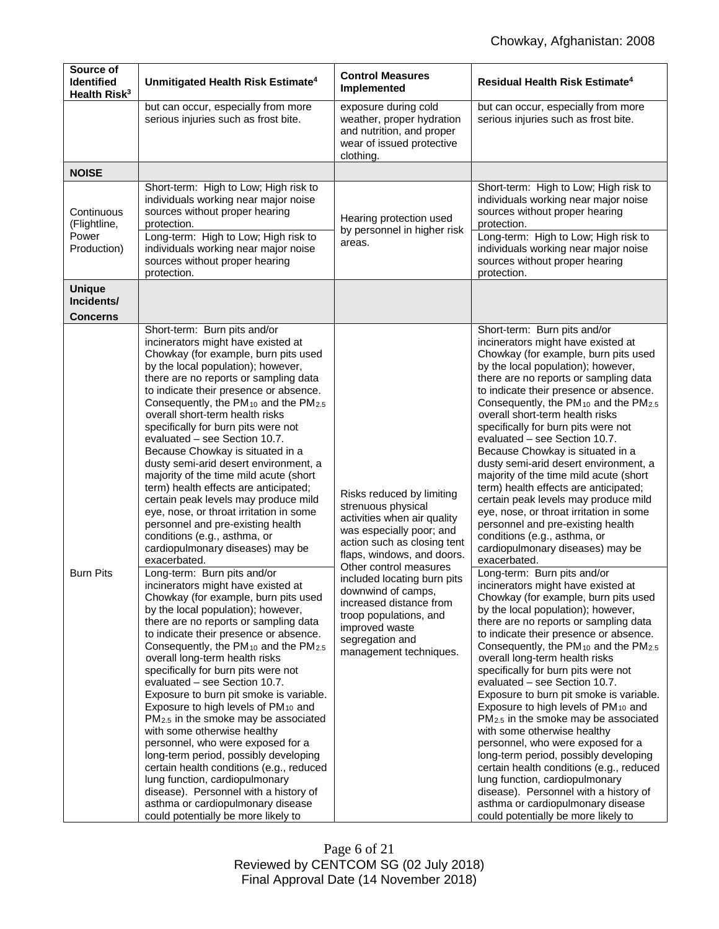| Source of<br><b>Identified</b><br>Health Risk <sup>3</sup> | Unmitigated Health Risk Estimate <sup>4</sup>                                                                                                                                                                                                                                                                                                                                                                                                                                                                                                                                                                                                                                                                                                                                                                                                                                                                                                                                                                                                                                                                                                                                                                                                                                                                                                                                                                                                                                                                                                                                                                                                                                | <b>Control Measures</b><br>Implemented                                                                                                                                                                                                                                                                                                                                     | Residual Health Risk Estimate <sup>4</sup>                                                                                                                                                                                                                                                                                                                                                                                                                                                                                                                                                                                                                                                                                                                                                                                                                                                                                                                                                                                                                                                                                                                                                                                                                                                                                                                                                                                                                                                                                                                                                                                                                                   |
|------------------------------------------------------------|------------------------------------------------------------------------------------------------------------------------------------------------------------------------------------------------------------------------------------------------------------------------------------------------------------------------------------------------------------------------------------------------------------------------------------------------------------------------------------------------------------------------------------------------------------------------------------------------------------------------------------------------------------------------------------------------------------------------------------------------------------------------------------------------------------------------------------------------------------------------------------------------------------------------------------------------------------------------------------------------------------------------------------------------------------------------------------------------------------------------------------------------------------------------------------------------------------------------------------------------------------------------------------------------------------------------------------------------------------------------------------------------------------------------------------------------------------------------------------------------------------------------------------------------------------------------------------------------------------------------------------------------------------------------------|----------------------------------------------------------------------------------------------------------------------------------------------------------------------------------------------------------------------------------------------------------------------------------------------------------------------------------------------------------------------------|------------------------------------------------------------------------------------------------------------------------------------------------------------------------------------------------------------------------------------------------------------------------------------------------------------------------------------------------------------------------------------------------------------------------------------------------------------------------------------------------------------------------------------------------------------------------------------------------------------------------------------------------------------------------------------------------------------------------------------------------------------------------------------------------------------------------------------------------------------------------------------------------------------------------------------------------------------------------------------------------------------------------------------------------------------------------------------------------------------------------------------------------------------------------------------------------------------------------------------------------------------------------------------------------------------------------------------------------------------------------------------------------------------------------------------------------------------------------------------------------------------------------------------------------------------------------------------------------------------------------------------------------------------------------------|
|                                                            | but can occur, especially from more<br>serious injuries such as frost bite.                                                                                                                                                                                                                                                                                                                                                                                                                                                                                                                                                                                                                                                                                                                                                                                                                                                                                                                                                                                                                                                                                                                                                                                                                                                                                                                                                                                                                                                                                                                                                                                                  | exposure during cold<br>weather, proper hydration<br>and nutrition, and proper<br>wear of issued protective<br>clothing.                                                                                                                                                                                                                                                   | but can occur, especially from more<br>serious injuries such as frost bite.                                                                                                                                                                                                                                                                                                                                                                                                                                                                                                                                                                                                                                                                                                                                                                                                                                                                                                                                                                                                                                                                                                                                                                                                                                                                                                                                                                                                                                                                                                                                                                                                  |
| <b>NOISE</b>                                               |                                                                                                                                                                                                                                                                                                                                                                                                                                                                                                                                                                                                                                                                                                                                                                                                                                                                                                                                                                                                                                                                                                                                                                                                                                                                                                                                                                                                                                                                                                                                                                                                                                                                              |                                                                                                                                                                                                                                                                                                                                                                            |                                                                                                                                                                                                                                                                                                                                                                                                                                                                                                                                                                                                                                                                                                                                                                                                                                                                                                                                                                                                                                                                                                                                                                                                                                                                                                                                                                                                                                                                                                                                                                                                                                                                              |
| Continuous<br>(Flightline,<br>Power<br>Production)         | Short-term: High to Low; High risk to<br>individuals working near major noise<br>sources without proper hearing<br>protection.<br>Long-term: High to Low; High risk to<br>individuals working near major noise<br>sources without proper hearing<br>protection.                                                                                                                                                                                                                                                                                                                                                                                                                                                                                                                                                                                                                                                                                                                                                                                                                                                                                                                                                                                                                                                                                                                                                                                                                                                                                                                                                                                                              | Hearing protection used<br>by personnel in higher risk<br>areas.                                                                                                                                                                                                                                                                                                           | Short-term: High to Low; High risk to<br>individuals working near major noise<br>sources without proper hearing<br>protection.<br>Long-term: High to Low; High risk to<br>individuals working near major noise<br>sources without proper hearing<br>protection.                                                                                                                                                                                                                                                                                                                                                                                                                                                                                                                                                                                                                                                                                                                                                                                                                                                                                                                                                                                                                                                                                                                                                                                                                                                                                                                                                                                                              |
| <b>Unique</b><br>Incidents/<br><b>Concerns</b>             |                                                                                                                                                                                                                                                                                                                                                                                                                                                                                                                                                                                                                                                                                                                                                                                                                                                                                                                                                                                                                                                                                                                                                                                                                                                                                                                                                                                                                                                                                                                                                                                                                                                                              |                                                                                                                                                                                                                                                                                                                                                                            |                                                                                                                                                                                                                                                                                                                                                                                                                                                                                                                                                                                                                                                                                                                                                                                                                                                                                                                                                                                                                                                                                                                                                                                                                                                                                                                                                                                                                                                                                                                                                                                                                                                                              |
| <b>Burn Pits</b>                                           | Short-term: Burn pits and/or<br>incinerators might have existed at<br>Chowkay (for example, burn pits used<br>by the local population); however,<br>there are no reports or sampling data<br>to indicate their presence or absence.<br>Consequently, the PM <sub>10</sub> and the PM <sub>2.5</sub><br>overall short-term health risks<br>specifically for burn pits were not<br>evaluated – see Section 10.7.<br>Because Chowkay is situated in a<br>dusty semi-arid desert environment, a<br>majority of the time mild acute (short<br>term) health effects are anticipated;<br>certain peak levels may produce mild<br>eye, nose, or throat irritation in some<br>personnel and pre-existing health<br>conditions (e.g., asthma, or<br>cardiopulmonary diseases) may be<br>exacerbated.<br>Long-term: Burn pits and/or<br>incinerators might have existed at<br>Chowkay (for example, burn pits used<br>by the local population); however,<br>there are no reports or sampling data<br>to indicate their presence or absence.<br>Consequently, the PM <sub>10</sub> and the PM <sub>2.5</sub><br>overall long-term health risks<br>specifically for burn pits were not<br>evaluated - see Section 10.7.<br>Exposure to burn pit smoke is variable.<br>Exposure to high levels of PM <sub>10</sub> and<br>PM <sub>2.5</sub> in the smoke may be associated<br>with some otherwise healthy<br>personnel, who were exposed for a<br>long-term period, possibly developing<br>certain health conditions (e.g., reduced<br>lung function, cardiopulmonary<br>disease). Personnel with a history of<br>asthma or cardiopulmonary disease<br>could potentially be more likely to | Risks reduced by limiting<br>strenuous physical<br>activities when air quality<br>was especially poor; and<br>action such as closing tent<br>flaps, windows, and doors.<br>Other control measures<br>included locating burn pits<br>downwind of camps,<br>increased distance from<br>troop populations, and<br>improved waste<br>segregation and<br>management techniques. | Short-term: Burn pits and/or<br>incinerators might have existed at<br>Chowkay (for example, burn pits used<br>by the local population); however,<br>there are no reports or sampling data<br>to indicate their presence or absence.<br>Consequently, the PM <sub>10</sub> and the PM <sub>2.5</sub><br>overall short-term health risks<br>specifically for burn pits were not<br>evaluated - see Section 10.7.<br>Because Chowkay is situated in a<br>dusty semi-arid desert environment, a<br>majority of the time mild acute (short<br>term) health effects are anticipated;<br>certain peak levels may produce mild<br>eye, nose, or throat irritation in some<br>personnel and pre-existing health<br>conditions (e.g., asthma, or<br>cardiopulmonary diseases) may be<br>exacerbated.<br>Long-term: Burn pits and/or<br>incinerators might have existed at<br>Chowkay (for example, burn pits used<br>by the local population); however,<br>there are no reports or sampling data<br>to indicate their presence or absence.<br>Consequently, the PM <sub>10</sub> and the PM <sub>2.5</sub><br>overall long-term health risks<br>specifically for burn pits were not<br>evaluated - see Section 10.7.<br>Exposure to burn pit smoke is variable.<br>Exposure to high levels of PM <sub>10</sub> and<br>PM <sub>2.5</sub> in the smoke may be associated<br>with some otherwise healthy<br>personnel, who were exposed for a<br>long-term period, possibly developing<br>certain health conditions (e.g., reduced<br>lung function, cardiopulmonary<br>disease). Personnel with a history of<br>asthma or cardiopulmonary disease<br>could potentially be more likely to |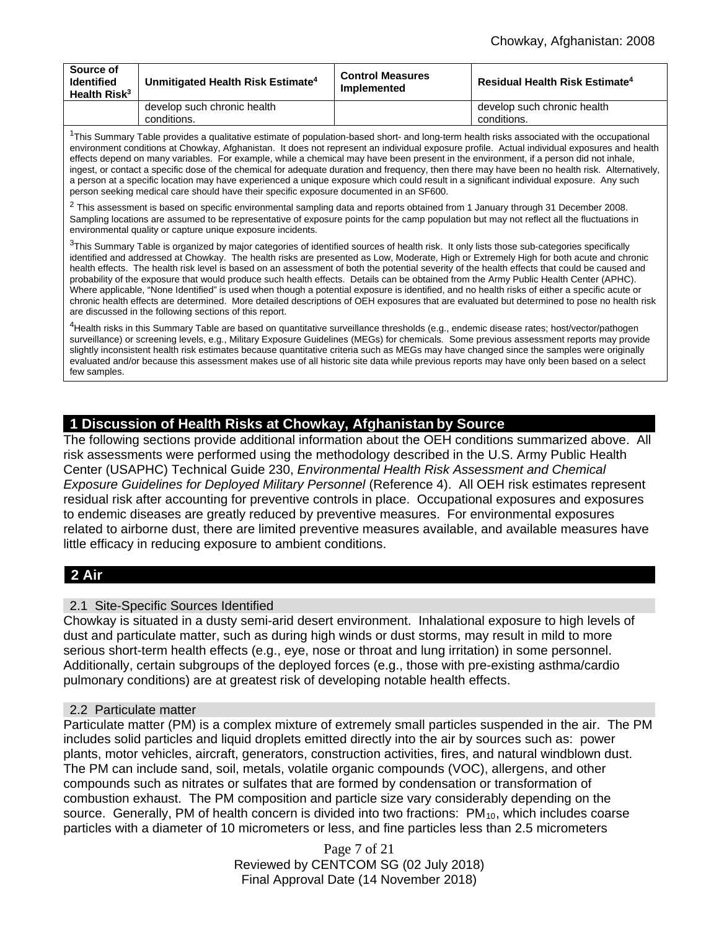| Source of<br><b>Identified</b><br>Health Risk <sup>3</sup> | Unmitigated Health Risk Estimate <sup>4</sup> | <b>Control Measures</b><br>Implemented | <b>Residual Health Risk Estimate<sup>4</sup></b> |
|------------------------------------------------------------|-----------------------------------------------|----------------------------------------|--------------------------------------------------|
|                                                            | develop such chronic health<br>conditions.    |                                        | develop such chronic health<br>conditions.       |

 $1$ This Summary Table provides a qualitative estimate of population-based short- and long-term health risks associated with the occupational environment conditions at Chowkay, Afghanistan. It does not represent an individual exposure profile. Actual individual exposures and health effects depend on many variables. For example, while a chemical may have been present in the environment, if a person did not inhale, ingest, or contact a specific dose of the chemical for adequate duration and frequency, then there may have been no health risk. Alternatively, a person at a specific location may have experienced a unique exposure which could result in a significant individual exposure. Any such person seeking medical care should have their specific exposure documented in an SF600.

 $2$  This assessment is based on specific environmental sampling data and reports obtained from 1 January through 31 December 2008. Sampling locations are assumed to be representative of exposure points for the camp population but may not reflect all the fluctuations in environmental quality or capture unique exposure incidents.

 $3$ This Summary Table is organized by major categories of identified sources of health risk. It only lists those sub-categories specifically identified and addressed at Chowkay. The health risks are presented as Low, Moderate, High or Extremely High for both acute and chronic health effects. The health risk level is based on an assessment of both the potential severity of the health effects that could be caused and probability of the exposure that would produce such health effects. Details can be obtained from the Army Public Health Center (APHC). Where applicable, "None Identified" is used when though a potential exposure is identified, and no health risks of either a specific acute or chronic health effects are determined. More detailed descriptions of OEH exposures that are evaluated but determined to pose no health risk are discussed in the following sections of this report.

<sup>4</sup>Health risks in this Summary Table are based on quantitative surveillance thresholds (e.g., endemic disease rates; host/vector/pathogen surveillance) or screening levels, e.g., Military Exposure Guidelines (MEGs) for chemicals*.* Some previous assessment reports may provide slightly inconsistent health risk estimates because quantitative criteria such as MEGs may have changed since the samples were originally evaluated and/or because this assessment makes use of all historic site data while previous reports may have only been based on a select few samples.

# **1 Discussion of Health Risks at Chowkay, Afghanistan by Source**

The following sections provide additional information about the OEH conditions summarized above. All risk assessments were performed using the methodology described in the U.S. Army Public Health Center (USAPHC) Technical Guide 230, *Environmental Health Risk Assessment and Chemical Exposure Guidelines for Deployed Military Personnel (Reference 4). All OEH risk estimates represent* residual risk after accounting for preventive controls in place. Occupational exposures and exposures to endemic diseases are greatly reduced by preventive measures. For environmental exposures related to airborne dust, there are limited preventive measures available, and available measures have little efficacy in reducing exposure to ambient conditions.

# **2 Air**

#### 2.1 Site-Specific Sources Identified

Chowkay is situated in a dusty semi-arid desert environment. Inhalational exposure to high levels of dust and particulate matter, such as during high winds or dust storms, may result in mild to more serious short-term health effects (e.g., eye, nose or throat and lung irritation) in some personnel. Additionally, certain subgroups of the deployed forces (e.g., those with pre-existing asthma/cardio pulmonary conditions) are at greatest risk of developing notable health effects.

#### 2.2 Particulate matter

Particulate matter (PM) is a complex mixture of extremely small particles suspended in the air. The PM includes solid particles and liquid droplets emitted directly into the air by sources such as: power plants, motor vehicles, aircraft, generators, construction activities, fires, and natural windblown dust. The PM can include sand, soil, metals, volatile organic compounds (VOC), allergens, and other compounds such as nitrates or sulfates that are formed by condensation or transformation of combustion exhaust. The PM composition and particle size vary considerably depending on the source. Generally, PM of health concern is divided into two fractions: PM<sub>10</sub>, which includes coarse particles with a diameter of 10 micrometers or less, and fine particles less than 2.5 micrometers

> Page 7 of 21 Reviewed by CENTCOM SG (02 July 2018) Final Approval Date (14 November 2018)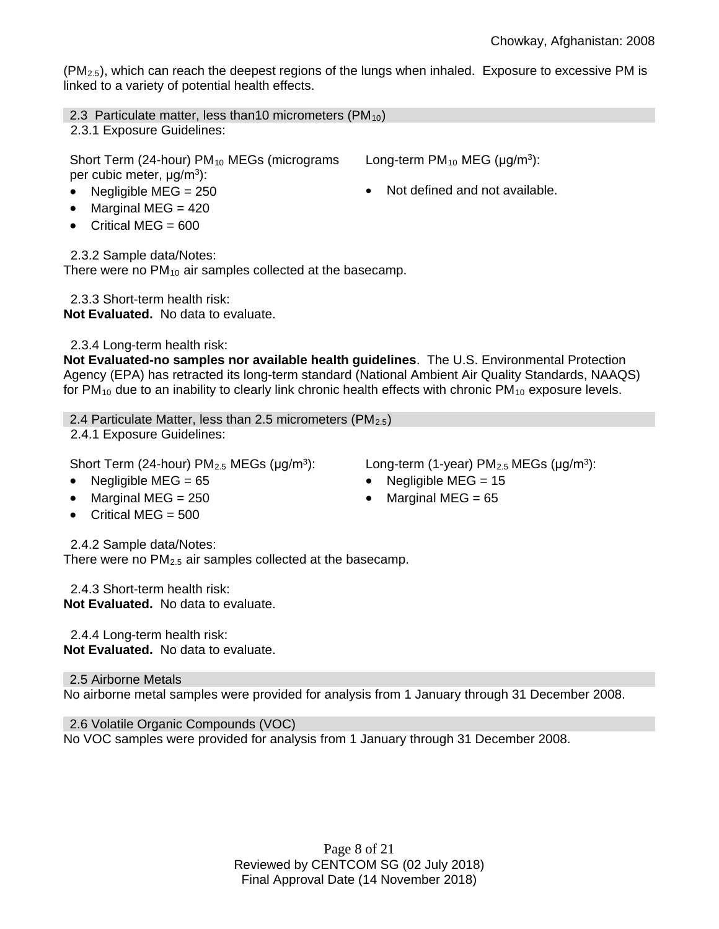$(PM<sub>2.5</sub>)$ , which can reach the deepest regions of the lungs when inhaled. Exposure to excessive PM is linked to a variety of potential health effects.

2.3 Particulate matter, less than10 micrometers  $(PM_{10})$ 

2.3.1 Exposure Guidelines:

Short Term (24-hour) PM<sub>10</sub> MEGs (micrograms per cubic meter, μg/m<sup>3</sup>):

- Negligible MEG = 250 **•** Not defined and not available.
- Marginal MEG  $= 420$
- Critical MEG  $= 600$

2.3.2 Sample data/Notes:

There were no  $PM_{10}$  air samples collected at the basecamp.

 2.3.3 Short-term health risk: **Not Evaluated.** No data to evaluate.

2.3.4 Long-term health risk:

**Not Evaluated-no samples nor available health guidelines**. The U.S. Environmental Protection Agency (EPA) has retracted its long-term standard (National Ambient Air Quality Standards, NAAQS) for  $PM_{10}$  due to an inability to clearly link chronic health effects with chronic  $PM_{10}$  exposure levels.

2.4 Particulate Matter, less than 2.5 micrometers  $(PM_{2.5})$ 2.4.1 Exposure Guidelines:

Short Term (24-hour) PM<sub>2.5</sub> MEGs ( $\mu$ g/m<sup>3</sup>): Long-term (1-year) PM<sub>2.5</sub> MEGs ( $\mu$ g/m<sup>3</sup>):

- Negligible MEG =  $65$  Negligible MEG =  $15$
- Marginal MEG = 250 Marginal MEG = 65
- Critical MEG  $= 500$

2.4.2 Sample data/Notes:

There were no  $PM<sub>2.5</sub>$  air samples collected at the basecamp.

 2.4.3 Short-term health risk: **Not Evaluated.** No data to evaluate.

 2.4.4 Long-term health risk: **Not Evaluated.** No data to evaluate.

2.5 Airborne Metals No airborne metal samples were provided for analysis from 1 January through 31 December 2008.

2.6 Volatile Organic Compounds (VOC) No VOC samples were provided for analysis from 1 January through 31 December 2008.

- 
- Long-term  $PM_{10}$  MEG ( $\mu$ g/m<sup>3</sup>):
	-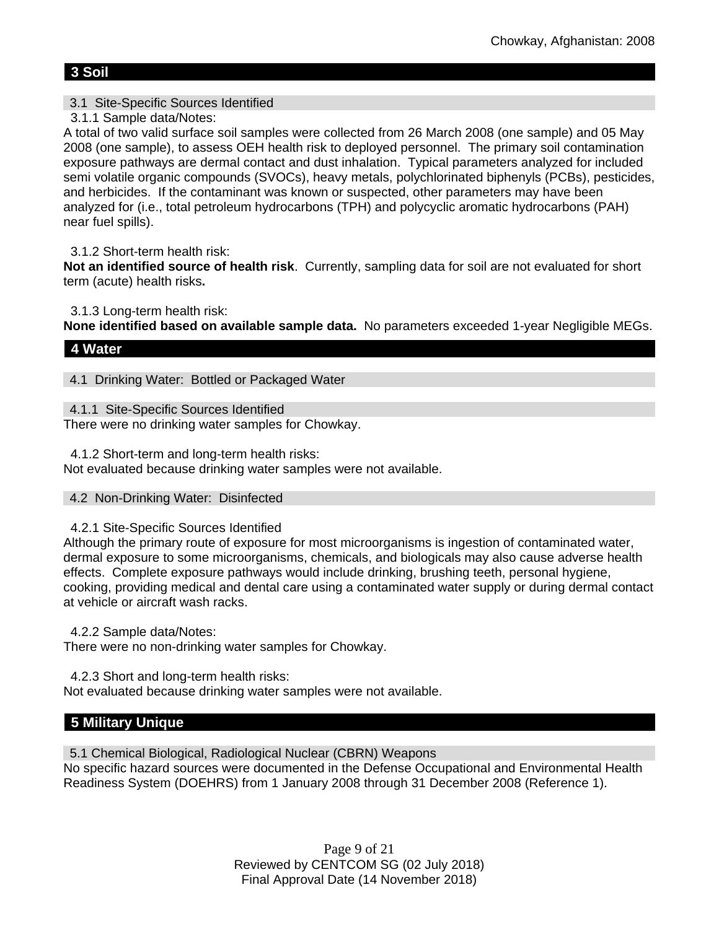# **3 Soil**

# 3.1 Site-Specific Sources Identified

3.1.1 Sample data/Notes:

A total of two valid surface soil samples were collected from 26 March 2008 (one sample) and 05 May 2008 (one sample), to assess OEH health risk to deployed personnel. The primary soil contamination exposure pathways are dermal contact and dust inhalation. Typical parameters analyzed for included semi volatile organic compounds (SVOCs), heavy metals, polychlorinated biphenyls (PCBs), pesticides, and herbicides. If the contaminant was known or suspected, other parameters may have been analyzed for (i.e., total petroleum hydrocarbons (TPH) and polycyclic aromatic hydrocarbons (PAH) near fuel spills).

# 3.1.2 Short-term health risk:

**Not an identified source of health risk**. Currently, sampling data for soil are not evaluated for short term (acute) health risks**.**

3.1.3 Long-term health risk:

**None identified based on available sample data.** No parameters exceeded 1-year Negligible MEGs.

# **4 Water**

4.1 Drinking Water: Bottled or Packaged Water

4.1.1 Site-Specific Sources Identified

There were no drinking water samples for Chowkay.

4.1.2 Short-term and long-term health risks:

Not evaluated because drinking water samples were not available.

# 4.2 Non-Drinking Water: Disinfected

# 4.2.1 Site-Specific Sources Identified

Although the primary route of exposure for most microorganisms is ingestion of contaminated water, dermal exposure to some microorganisms, chemicals, and biologicals may also cause adverse health effects. Complete exposure pathways would include drinking, brushing teeth, personal hygiene, cooking, providing medical and dental care using a contaminated water supply or during dermal contact at vehicle or aircraft wash racks.

4.2.2 Sample data/Notes:

There were no non-drinking water samples for Chowkay.

4.2.3 Short and long-term health risks:

Not evaluated because drinking water samples were not available.

# **5 Military Unique**

5.1 Chemical Biological, Radiological Nuclear (CBRN) Weapons No specific hazard sources were documented in the Defense Occupational and Environmental Health Readiness System (DOEHRS) from 1 January 2008 through 31 December 2008 (Reference 1).

> Page 9 of 21 Reviewed by CENTCOM SG (02 July 2018) Final Approval Date (14 November 2018)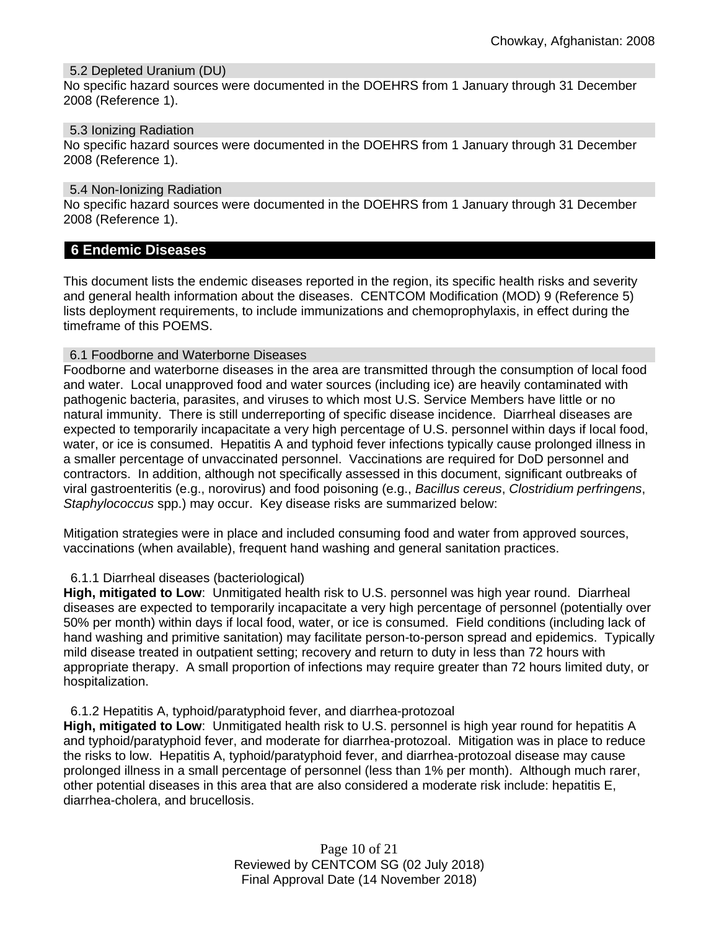#### 5.2 Depleted Uranium (DU)

No specific hazard sources were documented in the DOEHRS from 1 January through 31 December 2008 (Reference 1).

5.3 Ionizing Radiation

No specific hazard sources were documented in the DOEHRS from 1 January through 31 December 2008 (Reference 1).

5.4 Non-Ionizing Radiation

No specific hazard sources were documented in the DOEHRS from 1 January through 31 December 2008 (Reference 1).

# **6 Endemic Diseases**

This document lists the endemic diseases reported in the region, its specific health risks and severity and general health information about the diseases. CENTCOM Modification (MOD) 9 (Reference 5) lists deployment requirements, to include immunizations and chemoprophylaxis, in effect during the timeframe of this POEMS.

# 6.1 Foodborne and Waterborne Diseases

Foodborne and waterborne diseases in the area are transmitted through the consumption of local food and water. Local unapproved food and water sources (including ice) are heavily contaminated with pathogenic bacteria, parasites, and viruses to which most U.S. Service Members have little or no natural immunity. There is still underreporting of specific disease incidence. Diarrheal diseases are expected to temporarily incapacitate a very high percentage of U.S. personnel within days if local food, water, or ice is consumed. Hepatitis A and typhoid fever infections typically cause prolonged illness in a smaller percentage of unvaccinated personnel. Vaccinations are required for DoD personnel and contractors. In addition, although not specifically assessed in this document, significant outbreaks of viral gastroenteritis (e.g., norovirus) and food poisoning (e.g., *Bacillus cereus*, *Clostridium perfringens*, *Staphylococcus* spp.) may occur. Key disease risks are summarized below:

Mitigation strategies were in place and included consuming food and water from approved sources, vaccinations (when available), frequent hand washing and general sanitation practices.

# 6.1.1 Diarrheal diseases (bacteriological)

**High, mitigated to Low**: Unmitigated health risk to U.S. personnel was high year round. Diarrheal diseases are expected to temporarily incapacitate a very high percentage of personnel (potentially over 50% per month) within days if local food, water, or ice is consumed. Field conditions (including lack of hand washing and primitive sanitation) may facilitate person-to-person spread and epidemics. Typically mild disease treated in outpatient setting; recovery and return to duty in less than 72 hours with appropriate therapy. A small proportion of infections may require greater than 72 hours limited duty, or hospitalization.

#### 6.1.2 Hepatitis A, typhoid/paratyphoid fever, and diarrhea-protozoal

**High, mitigated to Low**: Unmitigated health risk to U.S. personnel is high year round for hepatitis A and typhoid/paratyphoid fever, and moderate for diarrhea-protozoal. Mitigation was in place to reduce the risks to low. Hepatitis A, typhoid/paratyphoid fever, and diarrhea-protozoal disease may cause prolonged illness in a small percentage of personnel (less than 1% per month). Although much rarer, other potential diseases in this area that are also considered a moderate risk include: hepatitis E, diarrhea-cholera, and brucellosis.

> Page 10 of 21 Reviewed by CENTCOM SG (02 July 2018) Final Approval Date (14 November 2018)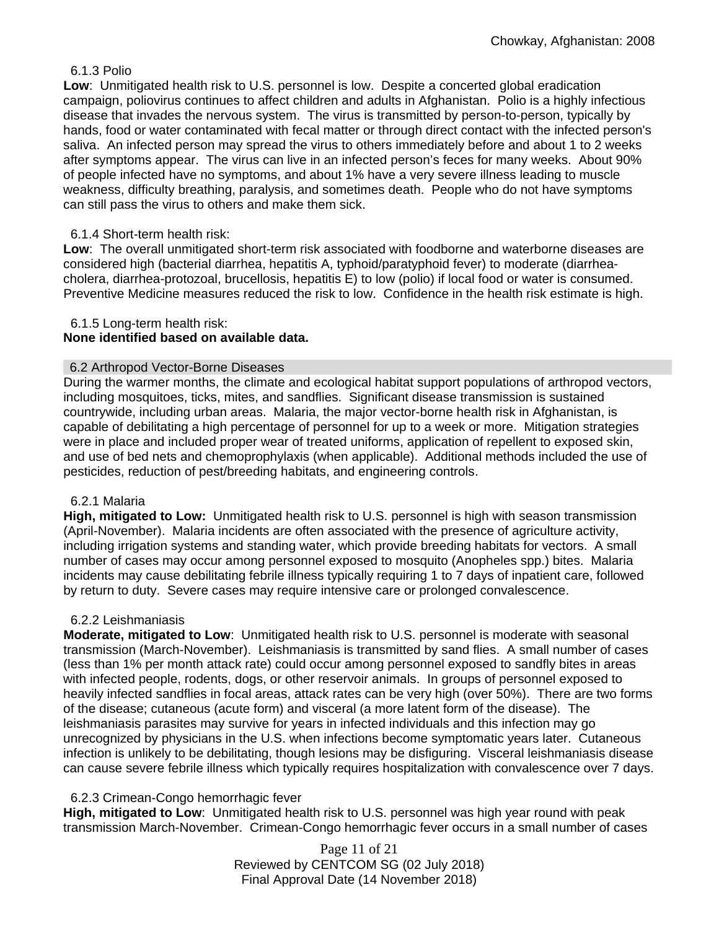# 6.1.3 Polio

**Low**: Unmitigated health risk to U.S. personnel is low. Despite a concerted global eradication campaign, poliovirus continues to affect children and adults in Afghanistan. Polio is a highly infectious disease that invades the nervous system. The virus is transmitted by person-to-person, typically by hands, food or water contaminated with fecal matter or through direct contact with the infected person's saliva. An infected person may spread the virus to others immediately before and about 1 to 2 weeks after symptoms appear. The virus can live in an infected person's feces for many weeks. About 90% of people infected have no symptoms, and about 1% have a very severe illness leading to muscle weakness, difficulty breathing, paralysis, and sometimes death. People who do not have symptoms can still pass the virus to others and make them sick.

# 6.1.4 Short-term health risk:

**Low**: The overall unmitigated short-term risk associated with foodborne and waterborne diseases are considered high (bacterial diarrhea, hepatitis A, typhoid/paratyphoid fever) to moderate (diarrheacholera, diarrhea-protozoal, brucellosis, hepatitis E) to low (polio) if local food or water is consumed. Preventive Medicine measures reduced the risk to low. Confidence in the health risk estimate is high.

# 6.1.5 Long-term health risk:

# **None identified based on available data.**

# 6.2 Arthropod Vector-Borne Diseases

During the warmer months, the climate and ecological habitat support populations of arthropod vectors, including mosquitoes, ticks, mites, and sandflies. Significant disease transmission is sustained countrywide, including urban areas. Malaria, the major vector-borne health risk in Afghanistan, is capable of debilitating a high percentage of personnel for up to a week or more. Mitigation strategies were in place and included proper wear of treated uniforms, application of repellent to exposed skin, and use of bed nets and chemoprophylaxis (when applicable). Additional methods included the use of pesticides, reduction of pest/breeding habitats, and engineering controls.

# 6.2.1 Malaria

**High, mitigated to Low:** Unmitigated health risk to U.S. personnel is high with season transmission (April-November). Malaria incidents are often associated with the presence of agriculture activity, including irrigation systems and standing water, which provide breeding habitats for vectors. A small number of cases may occur among personnel exposed to mosquito (Anopheles spp.) bites. Malaria incidents may cause debilitating febrile illness typically requiring 1 to 7 days of inpatient care, followed by return to duty. Severe cases may require intensive care or prolonged convalescence.

# 6.2.2 Leishmaniasis

**Moderate, mitigated to Low**: Unmitigated health risk to U.S. personnel is moderate with seasonal transmission (March-November). Leishmaniasis is transmitted by sand flies. A small number of cases (less than 1% per month attack rate) could occur among personnel exposed to sandfly bites in areas with infected people, rodents, dogs, or other reservoir animals. In groups of personnel exposed to heavily infected sandflies in focal areas, attack rates can be very high (over 50%). There are two forms of the disease; cutaneous (acute form) and visceral (a more latent form of the disease). The leishmaniasis parasites may survive for years in infected individuals and this infection may go unrecognized by physicians in the U.S. when infections become symptomatic years later. Cutaneous infection is unlikely to be debilitating, though lesions may be disfiguring. Visceral leishmaniasis disease can cause severe febrile illness which typically requires hospitalization with convalescence over 7 days.

# 6.2.3 Crimean-Congo hemorrhagic fever

**High, mitigated to Low**: Unmitigated health risk to U.S. personnel was high year round with peak transmission March-November. Crimean-Congo hemorrhagic fever occurs in a small number of cases

> Page 11 of 21 Reviewed by CENTCOM SG (02 July 2018) Final Approval Date (14 November 2018)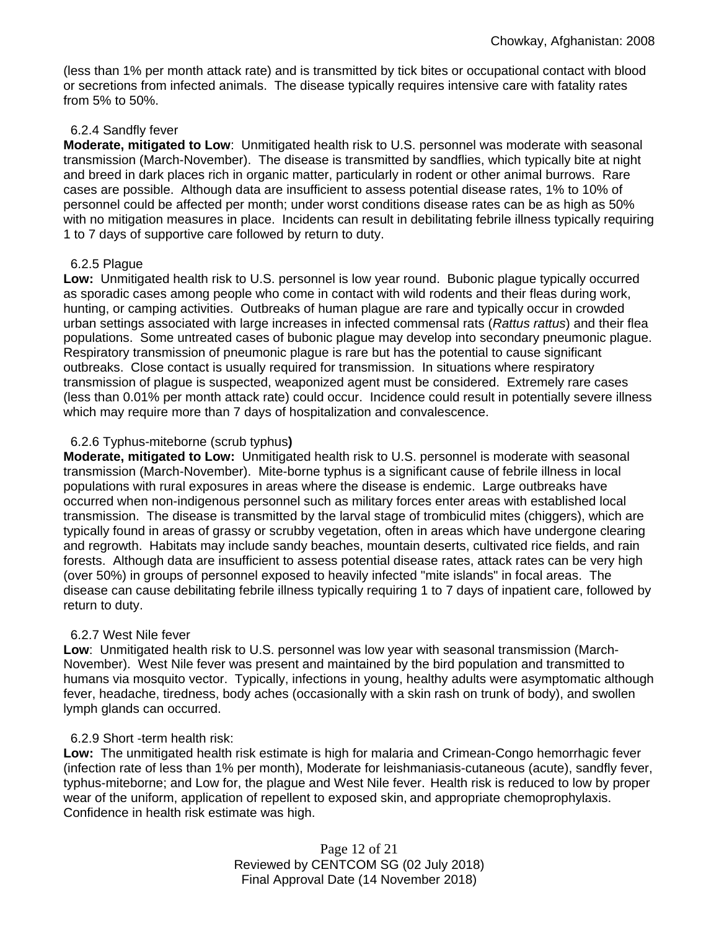(less than 1% per month attack rate) and is transmitted by tick bites or occupational contact with blood or secretions from infected animals. The disease typically requires intensive care with fatality rates from 5% to 50%.

## 6.2.4 Sandfly fever

**Moderate, mitigated to Low**: Unmitigated health risk to U.S. personnel was moderate with seasonal transmission (March-November). The disease is transmitted by sandflies, which typically bite at night and breed in dark places rich in organic matter, particularly in rodent or other animal burrows. Rare cases are possible. Although data are insufficient to assess potential disease rates, 1% to 10% of personnel could be affected per month; under worst conditions disease rates can be as high as 50% with no mitigation measures in place. Incidents can result in debilitating febrile illness typically requiring 1 to 7 days of supportive care followed by return to duty.

## 6.2.5 Plague

**Low:** Unmitigated health risk to U.S. personnel is low year round. Bubonic plague typically occurred as sporadic cases among people who come in contact with wild rodents and their fleas during work, hunting, or camping activities. Outbreaks of human plague are rare and typically occur in crowded urban settings associated with large increases in infected commensal rats (*Rattus rattus*) and their flea populations. Some untreated cases of bubonic plague may develop into secondary pneumonic plague. Respiratory transmission of pneumonic plague is rare but has the potential to cause significant outbreaks. Close contact is usually required for transmission. In situations where respiratory transmission of plague is suspected, weaponized agent must be considered. Extremely rare cases (less than 0.01% per month attack rate) could occur. Incidence could result in potentially severe illness which may require more than 7 days of hospitalization and convalescence.

## 6.2.6 Typhus-miteborne (scrub typhus**)**

**Moderate, mitigated to Low:** Unmitigated health risk to U.S. personnel is moderate with seasonal transmission (March-November). Mite-borne typhus is a significant cause of febrile illness in local populations with rural exposures in areas where the disease is endemic. Large outbreaks have occurred when non-indigenous personnel such as military forces enter areas with established local transmission. The disease is transmitted by the larval stage of trombiculid mites (chiggers), which are typically found in areas of grassy or scrubby vegetation, often in areas which have undergone clearing and regrowth. Habitats may include sandy beaches, mountain deserts, cultivated rice fields, and rain forests. Although data are insufficient to assess potential disease rates, attack rates can be very high (over 50%) in groups of personnel exposed to heavily infected "mite islands" in focal areas. The disease can cause debilitating febrile illness typically requiring 1 to 7 days of inpatient care, followed by return to duty.

#### 6.2.7 West Nile fever

**Low**: Unmitigated health risk to U.S. personnel was low year with seasonal transmission (March-November). West Nile fever was present and maintained by the bird population and transmitted to humans via mosquito vector. Typically, infections in young, healthy adults were asymptomatic although fever, headache, tiredness, body aches (occasionally with a skin rash on trunk of body), and swollen lymph glands can occurred.

# 6.2.9 Short -term health risk:

**Low:** The unmitigated health risk estimate is high for malaria and Crimean-Congo hemorrhagic fever (infection rate of less than 1% per month), Moderate for leishmaniasis-cutaneous (acute), sandfly fever, typhus-miteborne; and Low for, the plague and West Nile fever. Health risk is reduced to low by proper wear of the uniform, application of repellent to exposed skin, and appropriate chemoprophylaxis. Confidence in health risk estimate was high.

> Page 12 of 21 Reviewed by CENTCOM SG (02 July 2018) Final Approval Date (14 November 2018)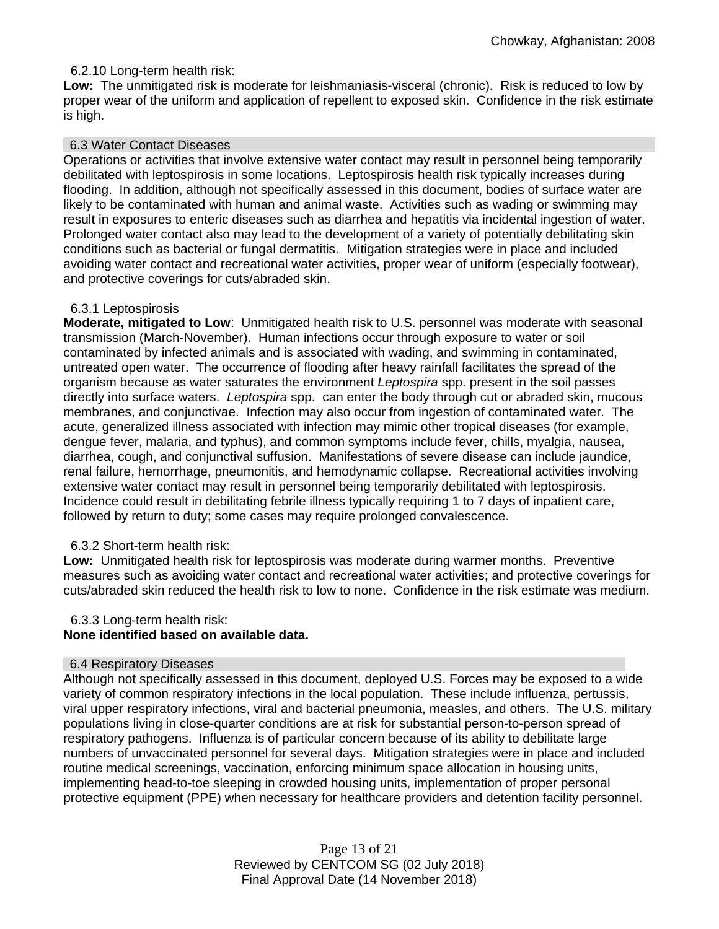# 6.2.10 Long-term health risk:

**Low:** The unmitigated risk is moderate for leishmaniasis-visceral (chronic). Risk is reduced to low by proper wear of the uniform and application of repellent to exposed skin. Confidence in the risk estimate is high.

## 6.3 Water Contact Diseases

Operations or activities that involve extensive water contact may result in personnel being temporarily debilitated with leptospirosis in some locations. Leptospirosis health risk typically increases during flooding. In addition, although not specifically assessed in this document, bodies of surface water are likely to be contaminated with human and animal waste. Activities such as wading or swimming may result in exposures to enteric diseases such as diarrhea and hepatitis via incidental ingestion of water. Prolonged water contact also may lead to the development of a variety of potentially debilitating skin conditions such as bacterial or fungal dermatitis. Mitigation strategies were in place and included avoiding water contact and recreational water activities, proper wear of uniform (especially footwear), and protective coverings for cuts/abraded skin.

#### 6.3.1 Leptospirosis

**Moderate, mitigated to Low**: Unmitigated health risk to U.S. personnel was moderate with seasonal transmission (March-November). Human infections occur through exposure to water or soil contaminated by infected animals and is associated with wading, and swimming in contaminated, untreated open water. The occurrence of flooding after heavy rainfall facilitates the spread of the organism because as water saturates the environment *Leptospira* spp. present in the soil passes directly into surface waters. *Leptospira* spp. can enter the body through cut or abraded skin, mucous membranes, and conjunctivae. Infection may also occur from ingestion of contaminated water. The acute, generalized illness associated with infection may mimic other tropical diseases (for example, dengue fever, malaria, and typhus), and common symptoms include fever, chills, myalgia, nausea, diarrhea, cough, and conjunctival suffusion. Manifestations of severe disease can include jaundice, renal failure, hemorrhage, pneumonitis, and hemodynamic collapse. Recreational activities involving extensive water contact may result in personnel being temporarily debilitated with leptospirosis. Incidence could result in debilitating febrile illness typically requiring 1 to 7 days of inpatient care, followed by return to duty; some cases may require prolonged convalescence.

# 6.3.2 Short-term health risk:

Low: Unmitigated health risk for leptospirosis was moderate during warmer months. Preventive measures such as avoiding water contact and recreational water activities; and protective coverings for cuts/abraded skin reduced the health risk to low to none. Confidence in the risk estimate was medium.

#### 6.3.3 Long-term health risk:

# **None identified based on available data.**

#### 6.4 Respiratory Diseases

Although not specifically assessed in this document, deployed U.S. Forces may be exposed to a wide variety of common respiratory infections in the local population. These include influenza, pertussis, viral upper respiratory infections, viral and bacterial pneumonia, measles, and others. The U.S. military populations living in close-quarter conditions are at risk for substantial person-to-person spread of respiratory pathogens. Influenza is of particular concern because of its ability to debilitate large numbers of unvaccinated personnel for several days. Mitigation strategies were in place and included routine medical screenings, vaccination, enforcing minimum space allocation in housing units, implementing head-to-toe sleeping in crowded housing units, implementation of proper personal protective equipment (PPE) when necessary for healthcare providers and detention facility personnel.

> Page 13 of 21 Reviewed by CENTCOM SG (02 July 2018) Final Approval Date (14 November 2018)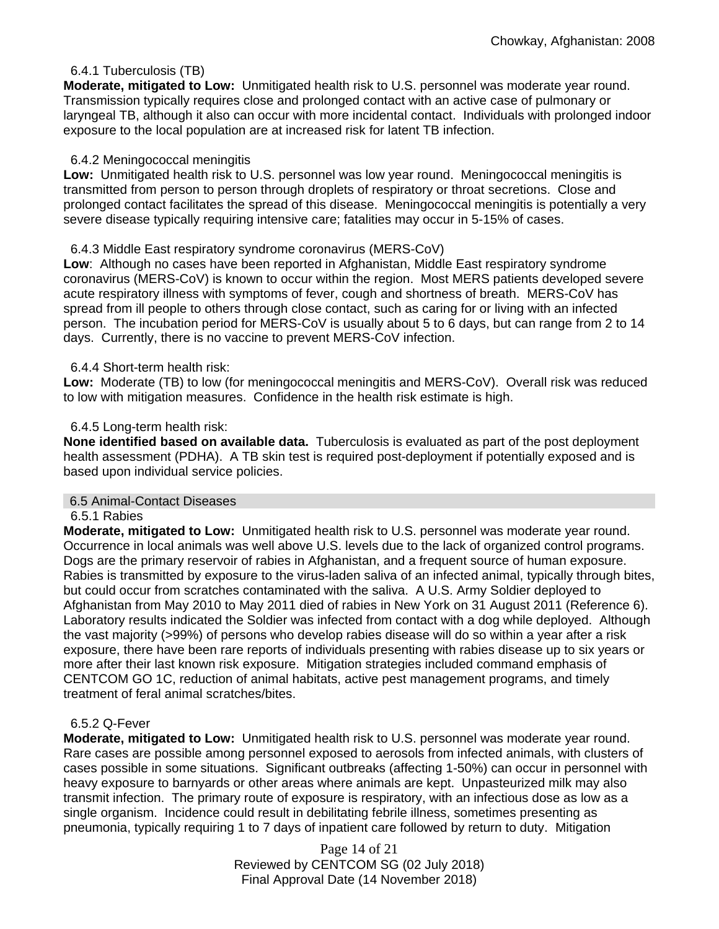## 6.4.1 Tuberculosis (TB)

**Moderate, mitigated to Low:** Unmitigated health risk to U.S. personnel was moderate year round. Transmission typically requires close and prolonged contact with an active case of pulmonary or laryngeal TB, although it also can occur with more incidental contact. Individuals with prolonged indoor exposure to the local population are at increased risk for latent TB infection.

#### 6.4.2 Meningococcal meningitis

**Low:** Unmitigated health risk to U.S. personnel was low year round. Meningococcal meningitis is transmitted from person to person through droplets of respiratory or throat secretions. Close and prolonged contact facilitates the spread of this disease. Meningococcal meningitis is potentially a very severe disease typically requiring intensive care; fatalities may occur in 5-15% of cases.

## 6.4.3 Middle East respiratory syndrome coronavirus (MERS-CoV)

**Low**: Although no cases have been reported in Afghanistan, Middle East respiratory syndrome coronavirus (MERS-CoV) is known to occur within the region. Most MERS patients developed severe acute respiratory illness with symptoms of fever, cough and shortness of breath. MERS-CoV has spread from ill people to others through close contact, such as caring for or living with an infected person. The incubation period for MERS-CoV is usually about 5 to 6 days, but can range from 2 to 14 days. Currently, there is no vaccine to prevent MERS-CoV infection.

## 6.4.4 Short-term health risk:

**Low:** Moderate (TB) to low (for meningococcal meningitis and MERS-CoV). Overall risk was reduced to low with mitigation measures. Confidence in the health risk estimate is high.

#### 6.4.5 Long-term health risk:

**None identified based on available data.** Tuberculosis is evaluated as part of the post deployment health assessment (PDHA). A TB skin test is required post-deployment if potentially exposed and is based upon individual service policies.

#### 6.5 Animal-Contact Diseases

#### 6.5.1 Rabies

**Moderate, mitigated to Low:** Unmitigated health risk to U.S. personnel was moderate year round. Occurrence in local animals was well above U.S. levels due to the lack of organized control programs. Dogs are the primary reservoir of rabies in Afghanistan, and a frequent source of human exposure. Rabies is transmitted by exposure to the virus-laden saliva of an infected animal, typically through bites, but could occur from scratches contaminated with the saliva. A U.S. Army Soldier deployed to Afghanistan from May 2010 to May 2011 died of rabies in New York on 31 August 2011 (Reference 6). Laboratory results indicated the Soldier was infected from contact with a dog while deployed. Although the vast majority (>99%) of persons who develop rabies disease will do so within a year after a risk exposure, there have been rare reports of individuals presenting with rabies disease up to six years or more after their last known risk exposure. Mitigation strategies included command emphasis of CENTCOM GO 1C, reduction of animal habitats, active pest management programs, and timely treatment of feral animal scratches/bites.

#### 6.5.2 Q-Fever

**Moderate, mitigated to Low:** Unmitigated health risk to U.S. personnel was moderate year round. Rare cases are possible among personnel exposed to aerosols from infected animals, with clusters of cases possible in some situations. Significant outbreaks (affecting 1-50%) can occur in personnel with heavy exposure to barnyards or other areas where animals are kept. Unpasteurized milk may also transmit infection. The primary route of exposure is respiratory, with an infectious dose as low as a single organism. Incidence could result in debilitating febrile illness, sometimes presenting as pneumonia, typically requiring 1 to 7 days of inpatient care followed by return to duty. Mitigation

> Page 14 of 21 Reviewed by CENTCOM SG (02 July 2018) Final Approval Date (14 November 2018)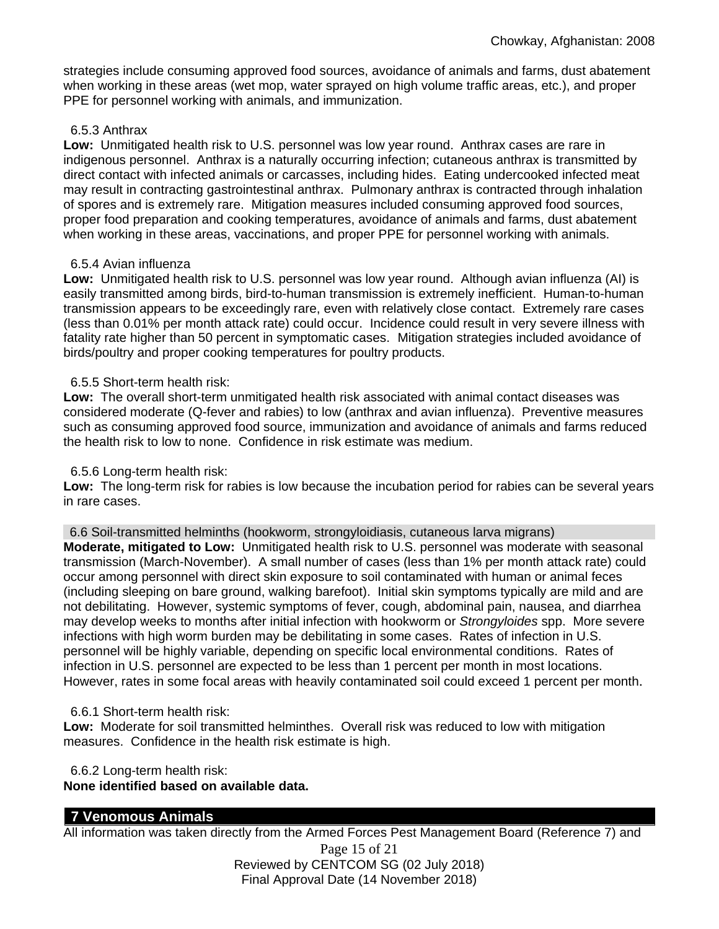strategies include consuming approved food sources, avoidance of animals and farms, dust abatement when working in these areas (wet mop, water sprayed on high volume traffic areas, etc.), and proper PPE for personnel working with animals, and immunization.

#### 6.5.3 Anthrax

**Low:** Unmitigated health risk to U.S. personnel was low year round. Anthrax cases are rare in indigenous personnel. Anthrax is a naturally occurring infection; cutaneous anthrax is transmitted by direct contact with infected animals or carcasses, including hides. Eating undercooked infected meat may result in contracting gastrointestinal anthrax. Pulmonary anthrax is contracted through inhalation of spores and is extremely rare. Mitigation measures included consuming approved food sources, proper food preparation and cooking temperatures, avoidance of animals and farms, dust abatement when working in these areas, vaccinations, and proper PPE for personnel working with animals.

## 6.5.4 Avian influenza

**Low:** Unmitigated health risk to U.S. personnel was low year round. Although avian influenza (AI) is easily transmitted among birds, bird-to-human transmission is extremely inefficient. Human-to-human transmission appears to be exceedingly rare, even with relatively close contact. Extremely rare cases (less than 0.01% per month attack rate) could occur. Incidence could result in very severe illness with fatality rate higher than 50 percent in symptomatic cases. Mitigation strategies included avoidance of birds/poultry and proper cooking temperatures for poultry products.

## 6.5.5 Short-term health risk:

**Low:** The overall short-term unmitigated health risk associated with animal contact diseases was considered moderate (Q-fever and rabies) to low (anthrax and avian influenza). Preventive measures such as consuming approved food source, immunization and avoidance of animals and farms reduced the health risk to low to none. Confidence in risk estimate was medium.

# 6.5.6 Long-term health risk:

**Low:** The long-term risk for rabies is low because the incubation period for rabies can be several years in rare cases.

6.6 Soil-transmitted helminths (hookworm, strongyloidiasis, cutaneous larva migrans)

**Moderate, mitigated to Low:** Unmitigated health risk to U.S. personnel was moderate with seasonal transmission (March-November). A small number of cases (less than 1% per month attack rate) could occur among personnel with direct skin exposure to soil contaminated with human or animal feces (including sleeping on bare ground, walking barefoot). Initial skin symptoms typically are mild and are not debilitating. However, systemic symptoms of fever, cough, abdominal pain, nausea, and diarrhea may develop weeks to months after initial infection with hookworm or *Strongyloides* spp. More severe infections with high worm burden may be debilitating in some cases. Rates of infection in U.S. personnel will be highly variable, depending on specific local environmental conditions. Rates of infection in U.S. personnel are expected to be less than 1 percent per month in most locations. However, rates in some focal areas with heavily contaminated soil could exceed 1 percent per month.

#### 6.6.1 Short-term health risk:

**Low:** Moderate for soil transmitted helminthes. Overall risk was reduced to low with mitigation measures. Confidence in the health risk estimate is high.

6.6.2 Long-term health risk:

#### **None identified based on available data.**

# **7 Venomous Animals**

All information was taken directly from the Armed Forces Pest Management Board (Reference 7) and

Page 15 of 21 Reviewed by CENTCOM SG (02 July 2018) Final Approval Date (14 November 2018)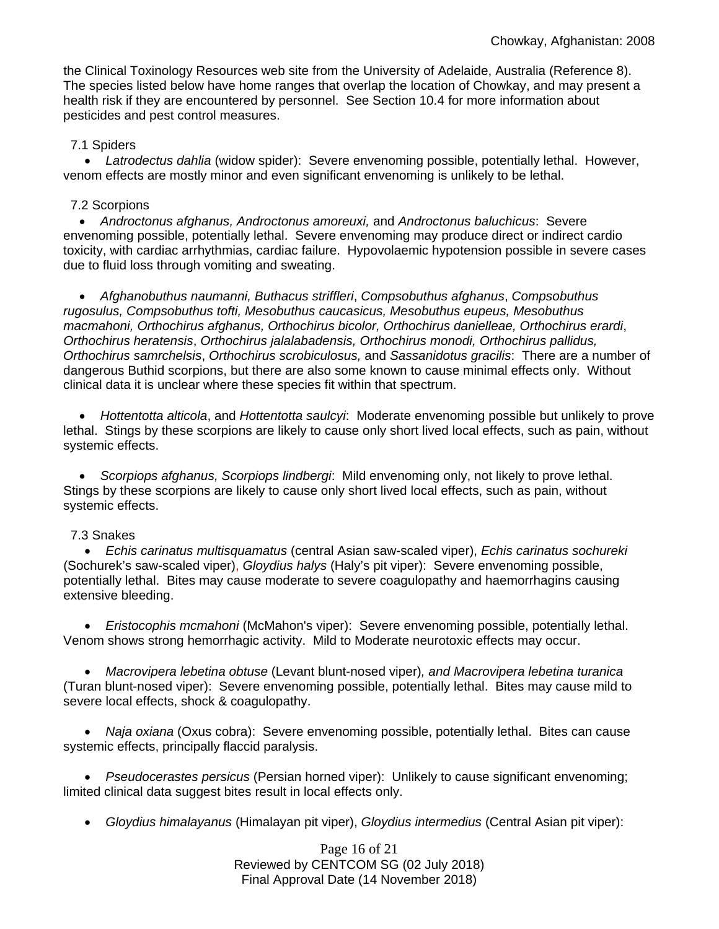the Clinical Toxinology Resources web site from the University of Adelaide, Australia (Reference 8). The species listed below have home ranges that overlap the location of Chowkay, and may present a health risk if they are encountered by personnel. See Section 10.4 for more information about pesticides and pest control measures.

## 7.1 Spiders

• *Latrodectus dahlia* (widow spider): Severe envenoming possible, potentially lethal. However, venom effects are mostly minor and even significant envenoming is unlikely to be lethal.

#### 7.2 Scorpions

• *Androctonus afghanus, Androctonus amoreuxi,* and *Androctonus baluchicus*: Severe envenoming possible, potentially lethal. Severe envenoming may produce direct or indirect cardio toxicity, with cardiac arrhythmias, cardiac failure. Hypovolaemic hypotension possible in severe cases due to fluid loss through vomiting and sweating.

• *Afghanobuthus naumanni, Buthacus striffleri*, *Compsobuthus afghanus*, *Compsobuthus rugosulus, Compsobuthus tofti, Mesobuthus caucasicus, Mesobuthus eupeus, Mesobuthus macmahoni, Orthochirus afghanus, Orthochirus bicolor, Orthochirus danielleae, Orthochirus erardi*, *Orthochirus heratensis*, *Orthochirus jalalabadensis, Orthochirus monodi, Orthochirus pallidus, Orthochirus samrchelsis*, *Orthochirus scrobiculosus,* and *Sassanidotus gracilis*: There are a number of dangerous Buthid scorpions, but there are also some known to cause minimal effects only. Without clinical data it is unclear where these species fit within that spectrum.

• *Hottentotta alticola*, and *Hottentotta saulcyi*: Moderate envenoming possible but unlikely to prove lethal. Stings by these scorpions are likely to cause only short lived local effects, such as pain, without systemic effects.

• *Scorpiops afghanus, Scorpiops lindbergi*: Mild envenoming only, not likely to prove lethal. Stings by these scorpions are likely to cause only short lived local effects, such as pain, without systemic effects.

#### 7.3 Snakes

• *Echis carinatus multisquamatus* (central Asian saw-scaled viper), *Echis carinatus sochureki* (Sochurek's saw-scaled viper), *Gloydius halys* (Haly's pit viper): Severe envenoming possible, potentially lethal. Bites may cause moderate to severe coagulopathy and haemorrhagins causing extensive bleeding.

• *Eristocophis mcmahoni* (McMahon's viper): Severe envenoming possible, potentially lethal. Venom shows strong hemorrhagic activity. Mild to Moderate neurotoxic effects may occur.

• *Macrovipera lebetina obtuse* (Levant blunt-nosed viper)*, and Macrovipera lebetina turanica*  (Turan blunt-nosed viper): Severe envenoming possible, potentially lethal. Bites may cause mild to severe local effects, shock & coagulopathy.

• Naja oxiana (Oxus cobra): Severe envenoming possible, potentially lethal. Bites can cause systemic effects, principally flaccid paralysis.

• *Pseudocerastes persicus* (Persian horned viper): Unlikely to cause significant envenoming; limited clinical data suggest bites result in local effects only.

• *Gloydius himalayanus* (Himalayan pit viper), *Gloydius intermedius* (Central Asian pit viper):

Page 16 of 21 Reviewed by CENTCOM SG (02 July 2018) Final Approval Date (14 November 2018)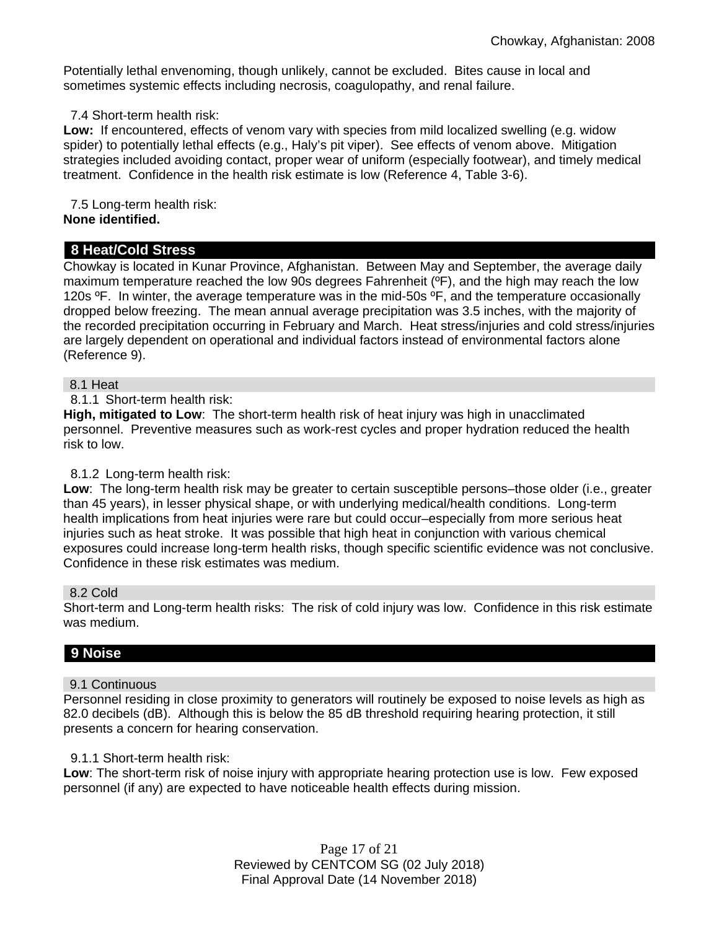Potentially lethal envenoming, though unlikely, cannot be excluded. Bites cause in local and sometimes systemic effects including necrosis, coagulopathy, and renal failure.

7.4 Short-term health risk:

**Low:** If encountered, effects of venom vary with species from mild localized swelling (e.g. widow spider) to potentially lethal effects (e.g., Haly's pit viper). See effects of venom above. Mitigation strategies included avoiding contact, proper wear of uniform (especially footwear), and timely medical treatment. Confidence in the health risk estimate is low (Reference 4, Table 3-6).

 7.5 Long-term health risk: **None identified.**

# **8 Heat/Cold Stress**

Chowkay is located in Kunar Province, Afghanistan. Between May and September, the average daily maximum temperature reached the low 90s degrees Fahrenheit (ºF), and the high may reach the low 120s °F. In winter, the average temperature was in the mid-50s °F, and the temperature occasionally dropped below freezing. The mean annual average precipitation was 3.5 inches, with the majority of the recorded precipitation occurring in February and March. Heat stress/injuries and cold stress/injuries are largely dependent on operational and individual factors instead of environmental factors alone (Reference 9).

## 8.1 Heat

#### 8.1.1 Short-term health risk:

**High, mitigated to Low**: The short-term health risk of heat injury was high in unacclimated personnel. Preventive measures such as work-rest cycles and proper hydration reduced the health risk to low.

# 8.1.2 Long-term health risk:

**Low**: The long-term health risk may be greater to certain susceptible persons–those older (i.e., greater than 45 years), in lesser physical shape, or with underlying medical/health conditions. Long-term health implications from heat injuries were rare but could occur–especially from more serious heat injuries such as heat stroke. It was possible that high heat in conjunction with various chemical exposures could increase long-term health risks, though specific scientific evidence was not conclusive. Confidence in these risk estimates was medium.

#### 8.2 Cold

Short-term and Long-term health risks: The risk of cold injury was low. Confidence in this risk estimate was medium.

# **9 Noise**

#### 9.1 Continuous

Personnel residing in close proximity to generators will routinely be exposed to noise levels as high as 82.0 decibels (dB). Although this is below the 85 dB threshold requiring hearing protection, it still presents a concern for hearing conservation.

#### 9.1.1 Short-term health risk:

**Low**: The short-term risk of noise injury with appropriate hearing protection use is low. Few exposed personnel (if any) are expected to have noticeable health effects during mission.

> Page 17 of 21 Reviewed by CENTCOM SG (02 July 2018) Final Approval Date (14 November 2018)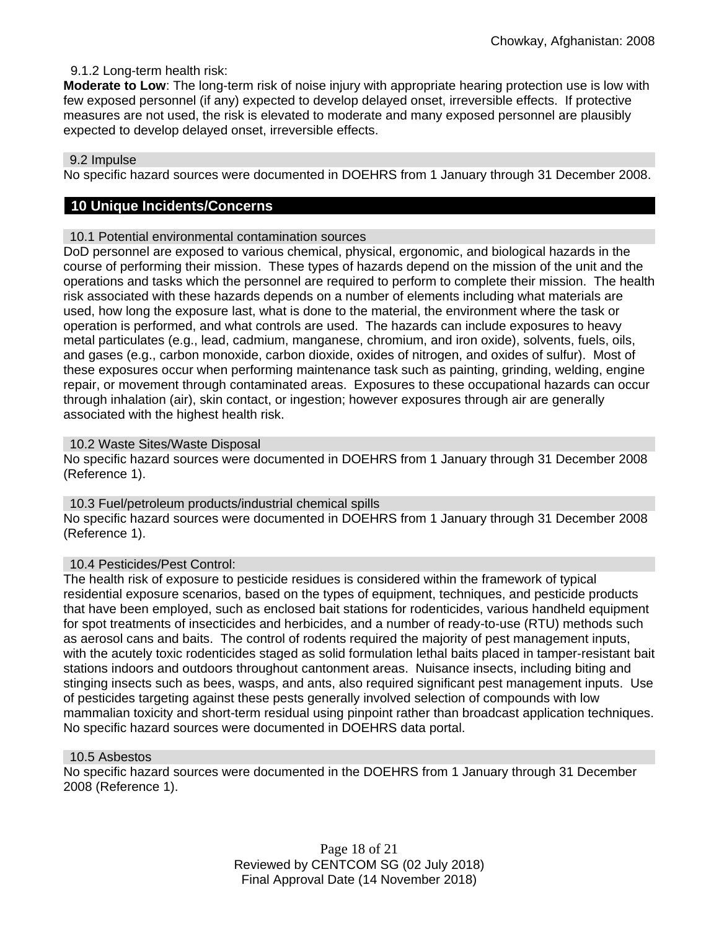# 9.1.2 Long-term health risk:

**Moderate to Low**: The long-term risk of noise injury with appropriate hearing protection use is low with few exposed personnel (if any) expected to develop delayed onset, irreversible effects. If protective measures are not used, the risk is elevated to moderate and many exposed personnel are plausibly expected to develop delayed onset, irreversible effects.

#### 9.2 Impulse

No specific hazard sources were documented in DOEHRS from 1 January through 31 December 2008.

# **10 Unique Incidents/Concerns**

#### 10.1 Potential environmental contamination sources

DoD personnel are exposed to various chemical, physical, ergonomic, and biological hazards in the course of performing their mission. These types of hazards depend on the mission of the unit and the operations and tasks which the personnel are required to perform to complete their mission. The health risk associated with these hazards depends on a number of elements including what materials are used, how long the exposure last, what is done to the material, the environment where the task or operation is performed, and what controls are used. The hazards can include exposures to heavy metal particulates (e.g., lead, cadmium, manganese, chromium, and iron oxide), solvents, fuels, oils, and gases (e.g., carbon monoxide, carbon dioxide, oxides of nitrogen, and oxides of sulfur). Most of these exposures occur when performing maintenance task such as painting, grinding, welding, engine repair, or movement through contaminated areas. Exposures to these occupational hazards can occur through inhalation (air), skin contact, or ingestion; however exposures through air are generally associated with the highest health risk.

#### 10.2 Waste Sites/Waste Disposal

No specific hazard sources were documented in DOEHRS from 1 January through 31 December 2008 (Reference 1).

10.3 Fuel/petroleum products/industrial chemical spills No specific hazard sources were documented in DOEHRS from 1 January through 31 December 2008 (Reference 1).

#### 10.4 Pesticides/Pest Control:

The health risk of exposure to pesticide residues is considered within the framework of typical residential exposure scenarios, based on the types of equipment, techniques, and pesticide products that have been employed, such as enclosed bait stations for rodenticides, various handheld equipment for spot treatments of insecticides and herbicides, and a number of ready-to-use (RTU) methods such as aerosol cans and baits. The control of rodents required the majority of pest management inputs, with the acutely toxic rodenticides staged as solid formulation lethal baits placed in tamper-resistant bait stations indoors and outdoors throughout cantonment areas. Nuisance insects, including biting and stinging insects such as bees, wasps, and ants, also required significant pest management inputs. Use of pesticides targeting against these pests generally involved selection of compounds with low mammalian toxicity and short-term residual using pinpoint rather than broadcast application techniques. No specific hazard sources were documented in DOEHRS data portal.

#### 10.5 Asbestos

No specific hazard sources were documented in the DOEHRS from 1 January through 31 December 2008 (Reference 1).

> Page 18 of 21 Reviewed by CENTCOM SG (02 July 2018) Final Approval Date (14 November 2018)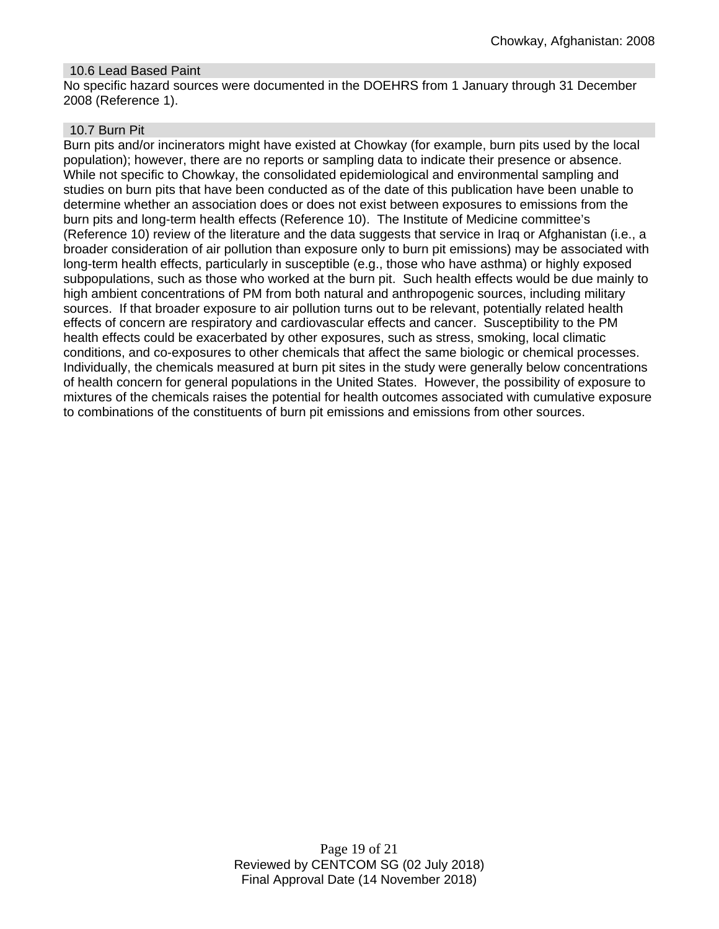## 10.6 Lead Based Paint

No specific hazard sources were documented in the DOEHRS from 1 January through 31 December 2008 (Reference 1).

#### 10.7 Burn Pit

Burn pits and/or incinerators might have existed at Chowkay (for example, burn pits used by the local population); however, there are no reports or sampling data to indicate their presence or absence. While not specific to Chowkay, the consolidated epidemiological and environmental sampling and studies on burn pits that have been conducted as of the date of this publication have been unable to determine whether an association does or does not exist between exposures to emissions from the burn pits and long-term health effects (Reference 10). The Institute of Medicine committee's (Reference 10) review of the literature and the data suggests that service in Iraq or Afghanistan (i.e., a broader consideration of air pollution than exposure only to burn pit emissions) may be associated with long-term health effects, particularly in susceptible (e.g., those who have asthma) or highly exposed subpopulations, such as those who worked at the burn pit. Such health effects would be due mainly to high ambient concentrations of PM from both natural and anthropogenic sources, including military sources. If that broader exposure to air pollution turns out to be relevant, potentially related health effects of concern are respiratory and cardiovascular effects and cancer. Susceptibility to the PM health effects could be exacerbated by other exposures, such as stress, smoking, local climatic conditions, and co-exposures to other chemicals that affect the same biologic or chemical processes. Individually, the chemicals measured at burn pit sites in the study were generally below concentrations of health concern for general populations in the United States. However, the possibility of exposure to mixtures of the chemicals raises the potential for health outcomes associated with cumulative exposure to combinations of the constituents of burn pit emissions and emissions from other sources.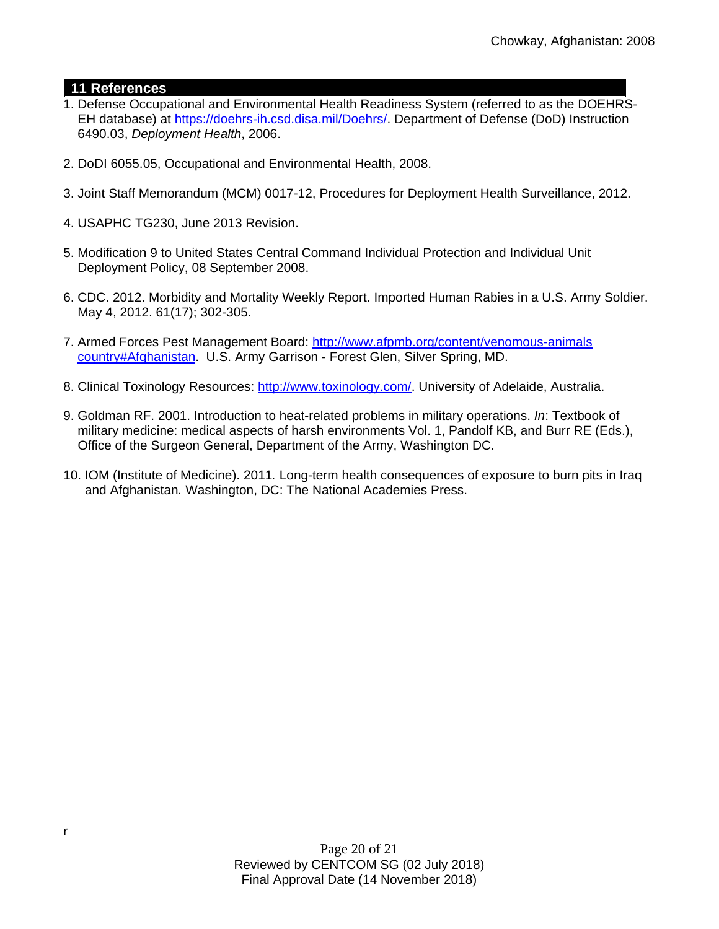# **11 References**

- 1. Defense Occupational and Environmental Health Readiness System (referred to as the DOEHRS- EH database) at https://doehrs-ih.csd.disa.mil/Doehrs/. Department of Defense (DoD) Instruction 6490.03, *Deployment Health*, 2006.
- 2. DoDI 6055.05, Occupational and Environmental Health, 2008.
- 3. Joint Staff Memorandum (MCM) 0017-12, Procedures for Deployment Health Surveillance, 2012.
- 4. USAPHC TG230, June 2013 Revision.
- 5. Modification 9 to United States Central Command Individual Protection and Individual Unit Deployment Policy, 08 September 2008.
- 6. CDC. 2012. Morbidity and Mortality Weekly Report. Imported Human Rabies in a U.S. Army Soldier. May 4, 2012. 61(17); 302-305.
- 7. Armed Forces Pest Management Board: [http://www.afpmb.org/content/venomous-animals](http://www.afpmb.org/content/venomous-animals%20%20%20%20%20country#Afghanistan)   [country#Afghanistan.](http://www.afpmb.org/content/venomous-animals%20%20%20%20%20country#Afghanistan) U.S. Army Garrison - Forest Glen, Silver Spring, MD.
- 8. Clinical Toxinology Resources: [http://www.toxinology.com/.](http://www.toxinology.com/) University of Adelaide, Australia.
- 9. Goldman RF. 2001. Introduction to heat-related problems in military operations. *In*: Textbook of military medicine: medical aspects of harsh environments Vol. 1, Pandolf KB, and Burr RE (Eds.), Office of the Surgeon General, Department of the Army, Washington DC.
- 10. IOM (Institute of Medicine). 2011*.* Long-term health consequences of exposure to burn pits in Iraq and Afghanistan*.* Washington, DC: The National Academies Press.